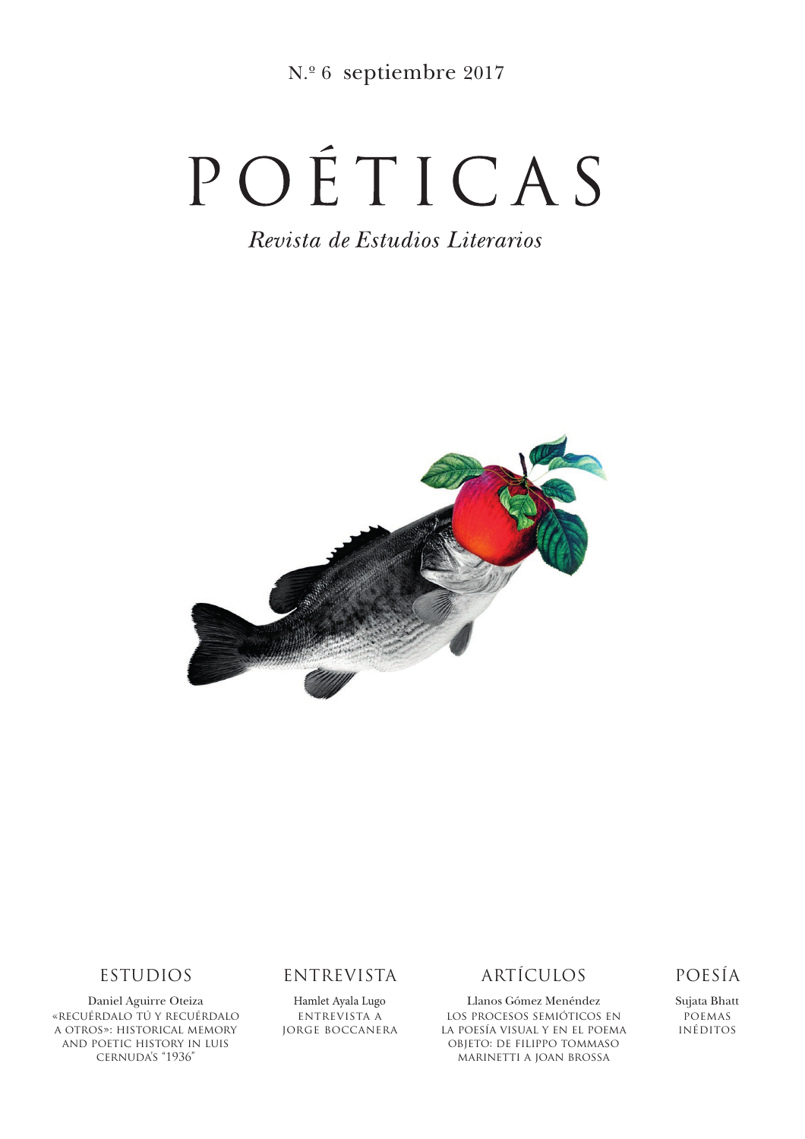N.º 6 septiembre 2017

# POÉTICAS

Revista de Estudios Literarios



#### ESTUDIOS

Daniel Aguirre Oteiza «recuérdalo tú y recuérdalo a otros»: historical memory and poetic history in luis cernuda's "1936"

#### ENTREVISTA

Hamlet Ayala Lugo entrevista a jorge boccanera

## ARTÍCULOS

Llanos Gómez Menéndez los procesos semióticos en la poesía visual y en el poema objeto: de filippo tommaso marinetti a joan brossa

### POESÍA

Sujata Bhatt poemas inéditos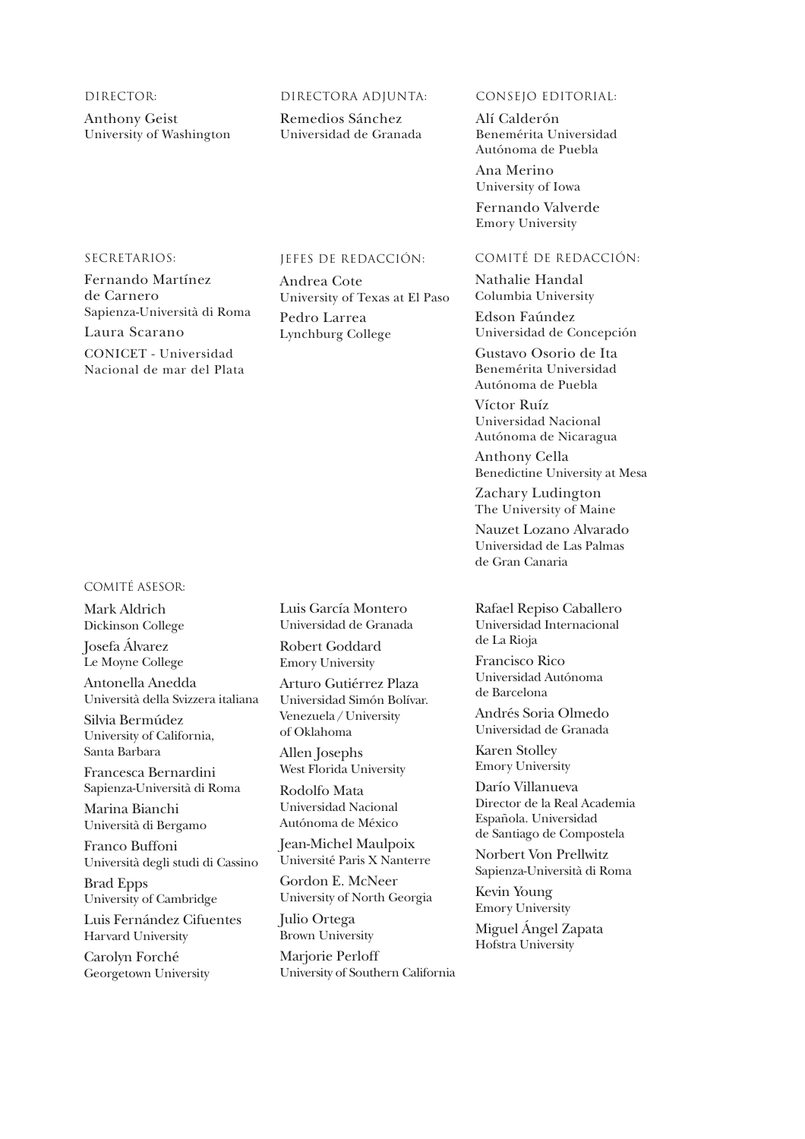#### DIRECTOR:

Anthony Geist University of Washington

#### DIRECTORA ADJUNTA:

Remedios Sánchez Universidad de Granada

JEFES DE REDACCIÓN:

University of Texas at El Paso

Andrea Cote

Pedro Larrea Lynchburg College

#### CONSEJO EDITORIAL:

Alí Calderón Benemérita Universidad Autónoma de Puebla

Ana Merino University of Iowa

Fernando Valverde Emory University

#### COMITÉ DE REDACCIÓN:

Nathalie Handal Columbia University

Edson Faúndez Universidad de Concepción

Gustavo Osorio de Ita Benemérita Universidad

Autónoma de Puebla Víctor Ruíz

Universidad Nacional Autónoma de Nicaragua

Anthony Cella Benedictine University at Mesa

Zachary Ludington The University of Maine

Nauzet Lozano Alvarado Universidad de Las Palmas de Gran Canaria

Rafael Repiso Caballero Universidad Internacional de La Rioja

Francisco Rico Universidad Autónoma de Barcelona

Andrés Soria Olmedo Universidad de Granada

Karen Stolley Emory University

Darío Villanueva Director de la Real Academia Española. Universidad de Santiago de Compostela

Norbert Von Prellwitz Sapienza-Università di Roma

Kevin Young Emory University

Miguel Ángel Zapata Hofstra University

SECRETARIOS:

Fernando Martínez de Carnero Sapienza-Università di Roma

Laura Scarano

CONICET - Universidad Nacional de mar del Plata

#### COMITÉ ASESOR:

Mark Aldrich Dickinson College

Josefa Álvarez Le Moyne College

Antonella Anedda Università della Svizzera italiana

Silvia Bermúdez University of California, Santa Barbara

Francesca Bernardini Sapienza-Università di Roma

Marina Bianchi Università di Bergamo

Franco Buffoni Università degli studi di Cassino

Brad Epps University of Cambridge

Luis Fernández Cifuentes Harvard University

Carolyn Forché Georgetown University Luis García Montero Universidad de Granada

Robert Goddard Emory University

Arturo Gutiérrez Plaza Universidad Simón Bolívar. Venezuela/University of Oklahoma

Allen Josephs West Florida University

Rodolfo Mata Universidad Nacional Autónoma de México

Jean-Michel Maulpoix Université Paris X Nanterre

Gordon E. McNeer University of North Georgia

Julio Ortega Brown University

Marjorie Perloff University of Southern California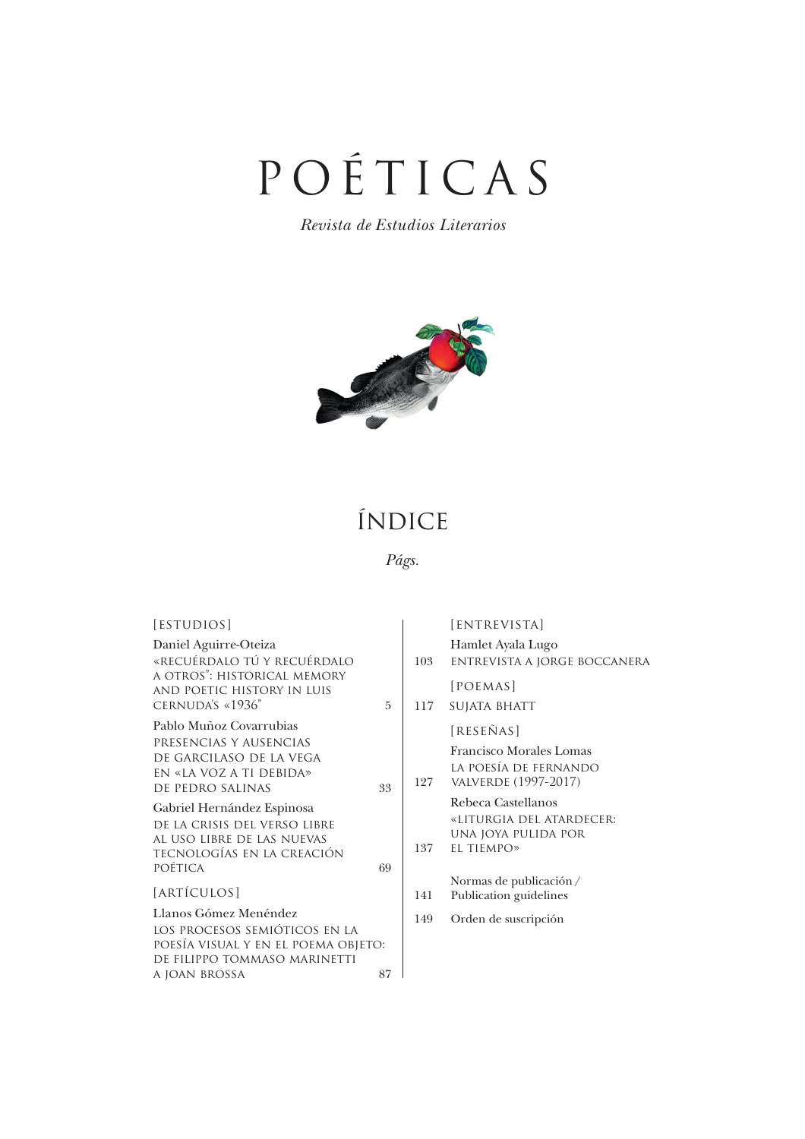# POÉTICAS

*Revista de Estudios Literarios*



# índice

# *Págs.*

| [ESTUDIOS]                                                          |    |     | [ENTREVISTA]                             |
|---------------------------------------------------------------------|----|-----|------------------------------------------|
| Daniel Aguirre-Oteiza                                               |    |     | Hamlet Ayala Lugo                        |
| «RECUÉRDALO TÚ Y RECUÉRDALO<br>A OTROS": HISTORICAL MEMORY          |    | 103 | ENTREVISTA A JORGE BOCCANERA             |
| AND POETIC HISTORY IN LUIS                                          |    |     | [POEMAS]                                 |
| CERNUDA'S «1936"                                                    | 5  | 117 | <b>SUJATA BHATT</b>                      |
| Pablo Muñoz Covarrubias                                             |    |     | [RESEÑAS]                                |
| PRESENCIAS Y AUSENCIAS<br>DE GARCILASO DE LA VEGA                   |    |     | Francisco Morales Lomas                  |
| EN «LA VOZ A TI DEBIDA»                                             |    |     | LA POESÍA DE FERNANDO                    |
| DE PEDRO SALINAS                                                    | 33 | 127 | VALVERDE (1997-2017)                     |
| Gabriel Hernández Espinosa                                          |    |     | Rebeca Castellanos                       |
| DE LA CRISIS DEL VERSO LIBRE                                        |    |     | «LITURGIA DEL ATARDECER:                 |
| AL USO LIBRE DE LAS NUEVAS                                          |    | 137 | UNA JOYA PULIDA POR<br><b>EL TIEMPO»</b> |
| TECNOLOGÍAS EN LA CREACIÓN<br>POÉTICA                               | 69 |     |                                          |
|                                                                     |    |     | Normas de publicación/                   |
| [ARTÍCULOS]                                                         |    | 141 | Publication guidelines                   |
| Llanos Gómez Menéndez                                               |    | 149 | Orden de suscripción                     |
| LOS PROCESOS SEMIÓTICOS EN LA                                       |    |     |                                          |
| POESÍA VISUAL Y EN EL POEMA OBJETO:<br>DE FILIPPO TOMMASO MARINETTI |    |     |                                          |
| A JOAN BROSSA                                                       | 87 |     |                                          |
|                                                                     |    |     |                                          |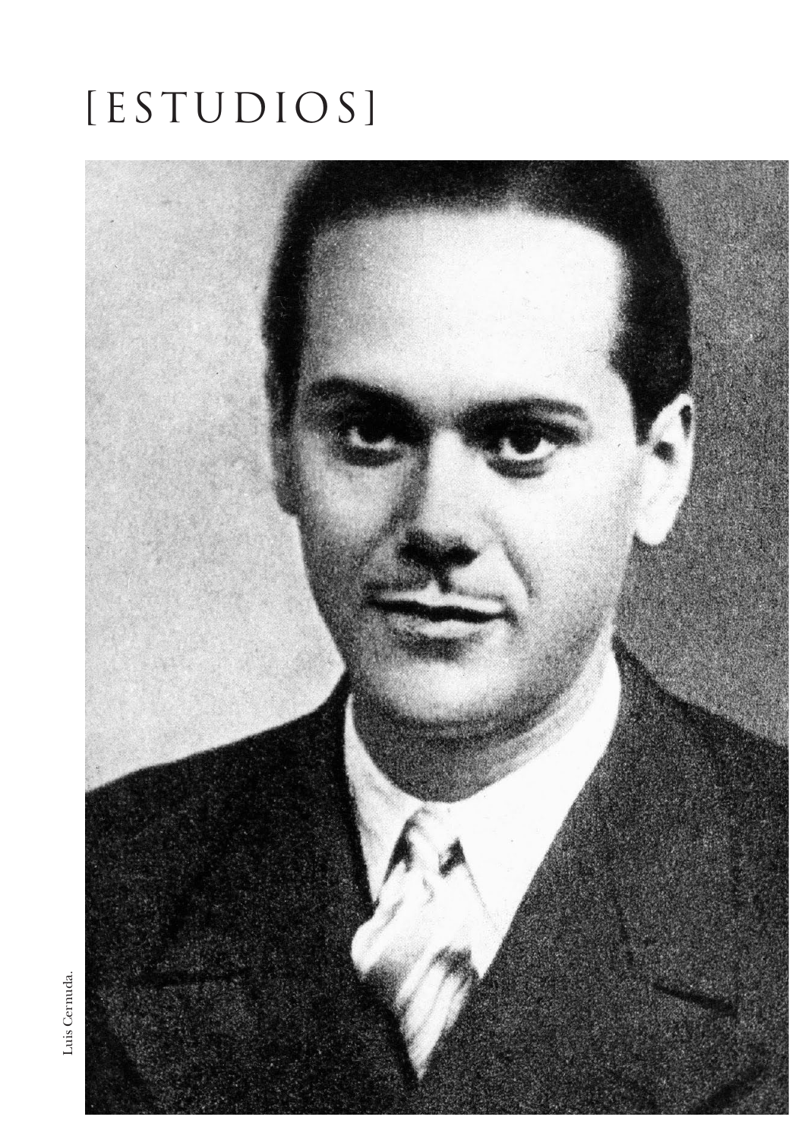# [ESTUDIOS]



Luis Cernuda. Luis Cernuda.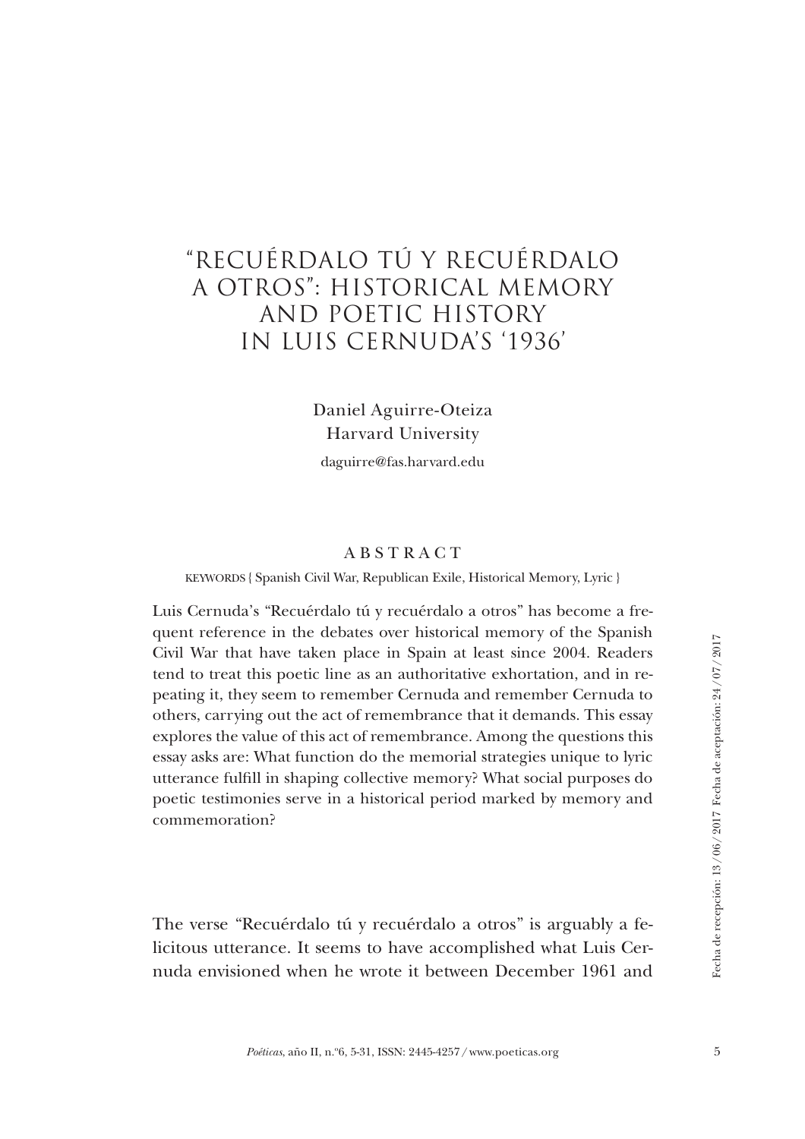# "RECUÉRDALO TÚ Y RECUÉRDALO A OTROS": HISTORICAL MEMORY AND POETIC HISTORY IN LUIS CERNUDA'S '1936'

### Daniel Aguirre-Oteiza Harvard University

daguirre@fas.harvard.edu

#### ABSTRACT

KEYWORDS { Spanish Civil War, Republican Exile, Historical Memory, Lyric }

Luis Cernuda's "Recuérdalo tú y recuérdalo a otros" has become a frequent reference in the debates over historical memory of the Spanish Civil War that have taken place in Spain at least since 2004. Readers tend to treat this poetic line as an authoritative exhortation, and in repeating it, they seem to remember Cernuda and remember Cernuda to others, carrying out the act of remembrance that it demands. This essay explores the value of this act of remembrance. Among the questions this essay asks are: What function do the memorial strategies unique to lyric utterance fulfill in shaping collective memory? What social purposes do poetic testimonies serve in a historical period marked by memory and commemoration?

The verse "Recuérdalo tú y recuérdalo a otros" is arguably a felicitous utterance. It seems to have accomplished what Luis Cernuda envisioned when he wrote it between December 1961 and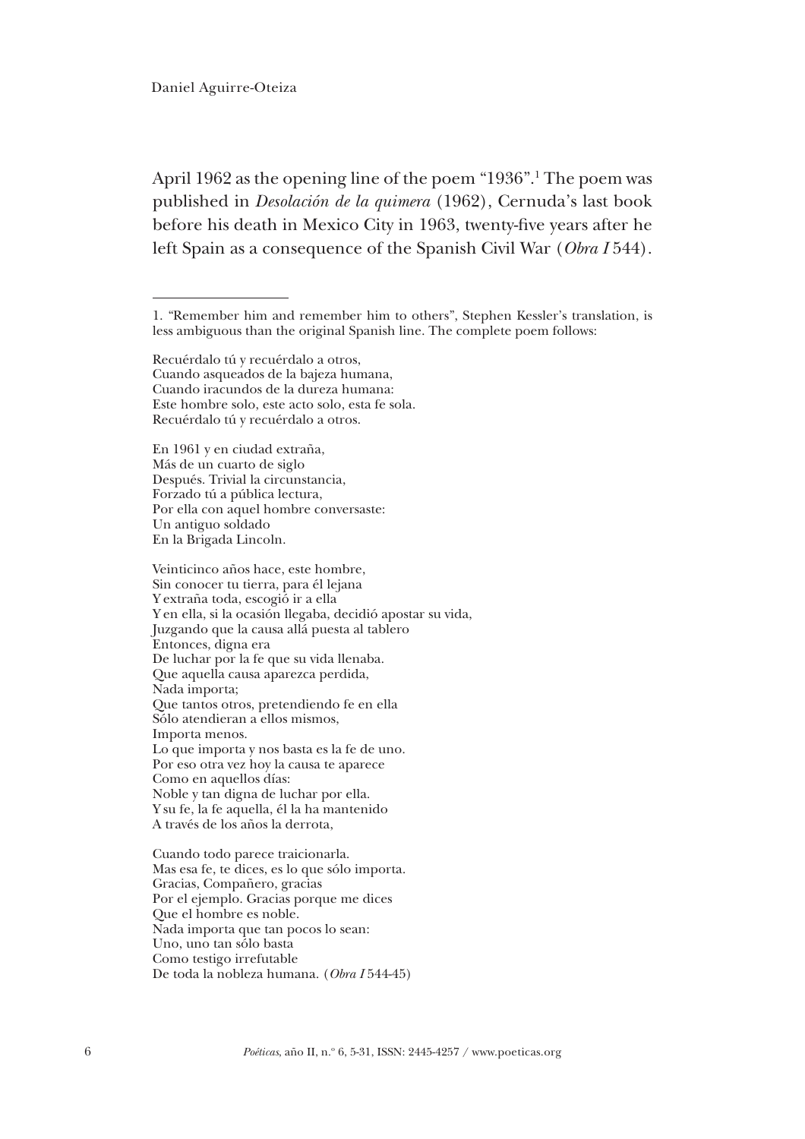April 1962 as the opening line of the poem "1936".<sup>1</sup> The poem was published in *Desolación de la quimera* (1962), Cernuda's last book before his death in Mexico City in 1963, twenty-five years after he left Spain as a consequence of the Spanish Civil War (*Obra I* 544).

En 1961 y en ciudad extraña, Más de un cuarto de siglo Después. Trivial la circunstancia, Forzado tú a pública lectura, Por ella con aquel hombre conversaste: Un antiguo soldado En la Brigada Lincoln.

Veinticinco años hace, este hombre, Sin conocer tu tierra, para él lejana Y extraña toda, escogió ir a ella Y en ella, si la ocasión llegaba, decidió apostar su vida, Juzgando que la causa allá puesta al tablero Entonces, digna era De luchar por la fe que su vida llenaba. Que aquella causa aparezca perdida, Nada importa; Que tantos otros, pretendiendo fe en ella Sólo atendieran a ellos mismos, Importa menos. Lo que importa y nos basta es la fe de uno. Por eso otra vez hoy la causa te aparece Como en aquellos días: Noble y tan digna de luchar por ella. Y su fe, la fe aquella, él la ha mantenido A través de los años la derrota,

Cuando todo parece traicionarla. Mas esa fe, te dices, es lo que sólo importa. Gracias, Compañero, gracias Por el ejemplo. Gracias porque me dices Que el hombre es noble. Nada importa que tan pocos lo sean: Uno, uno tan sólo basta Como testigo irrefutable De toda la nobleza humana. (*Obra I* 544-45)

<sup>1. &</sup>quot;Remember him and remember him to others", Stephen Kessler's translation, is less ambiguous than the original Spanish line. The complete poem follows:

Recuérdalo tú y recuérdalo a otros, Cuando asqueados de la bajeza humana, Cuando iracundos de la dureza humana: Este hombre solo, este acto solo, esta fe sola. Recuérdalo tú y recuérdalo a otros.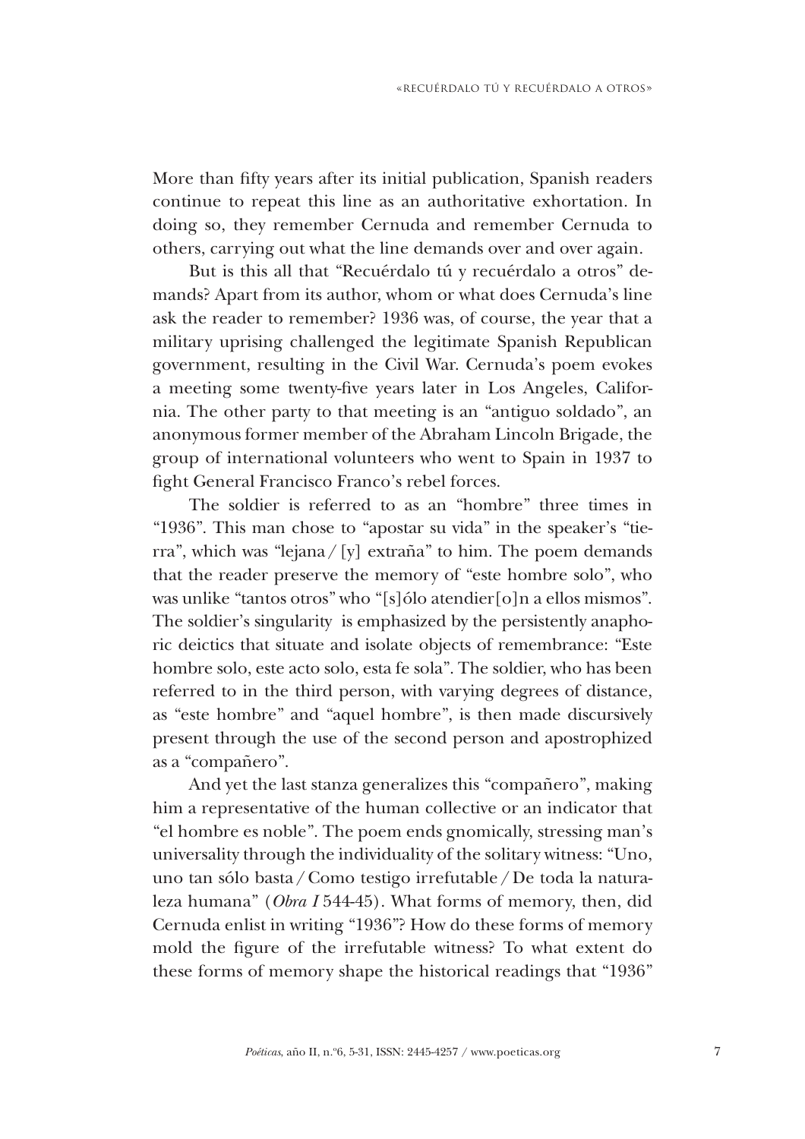More than fifty years after its initial publication, Spanish readers continue to repeat this line as an authoritative exhortation. In doing so, they remember Cernuda and remember Cernuda to others, carrying out what the line demands over and over again.

But is this all that "Recuérdalo tú y recuérdalo a otros" demands? Apart from its author, whom or what does Cernuda's line ask the reader to remember? 1936 was, of course, the year that a military uprising challenged the legitimate Spanish Republican government, resulting in the Civil War. Cernuda's poem evokes a meeting some twenty-five years later in Los Angeles, California. The other party to that meeting is an "antiguo soldado", an anonymous former member of the Abraham Lincoln Brigade, the group of international volunteers who went to Spain in 1937 to fight General Francisco Franco's rebel forces.

The soldier is referred to as an "hombre" three times in "1936". This man chose to "apostar su vida" in the speaker's "tierra", which was "lejana/[y] extraña" to him. The poem demands that the reader preserve the memory of "este hombre solo", who was unlike "tantos otros" who "[s]ólo atendier[o]n a ellos mismos". The soldier's singularity is emphasized by the persistently anaphoric deictics that situate and isolate objects of remembrance: "Este hombre solo, este acto solo, esta fe sola". The soldier, who has been referred to in the third person, with varying degrees of distance, as "este hombre" and "aquel hombre", is then made discursively present through the use of the second person and apostrophized as a "compañero".

And yet the last stanza generalizes this "compañero", making him a representative of the human collective or an indicator that "el hombre es noble". The poem ends gnomically, stressing man's universality through the individuality of the solitary witness: "Uno, uno tan sólo basta/Como testigo irrefutable/De toda la naturaleza humana" (*Obra I* 544-45). What forms of memory, then, did Cernuda enlist in writing "1936"? How do these forms of memory mold the figure of the irrefutable witness? To what extent do these forms of memory shape the historical readings that "1936"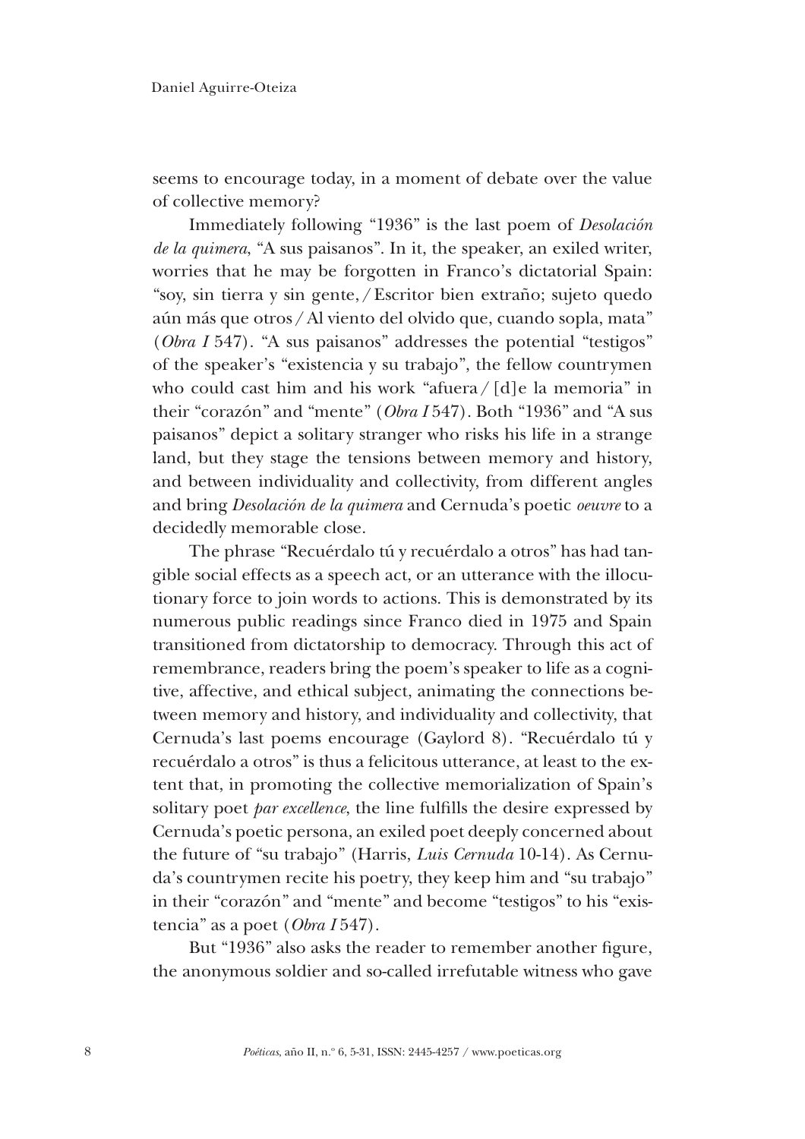seems to encourage today, in a moment of debate over the value of collective memory?

Immediately following "1936" is the last poem of *Desolación de la quimera*, "A sus paisanos". In it, the speaker, an exiled writer, worries that he may be forgotten in Franco's dictatorial Spain: "soy, sin tierra y sin gente,/Escritor bien extraño; sujeto quedo aún más que otros/Al viento del olvido que, cuando sopla, mata" (*Obra I* 547). "A sus paisanos" addresses the potential "testigos" of the speaker's "existencia y su trabajo", the fellow countrymen who could cast him and his work "afuera / [d]e la memoria" in their "corazón" and "mente" (*Obra I* 547). Both "1936" and "A sus paisanos" depict a solitary stranger who risks his life in a strange land, but they stage the tensions between memory and history, and between individuality and collectivity, from different angles and bring *Desolación de la quimera* and Cernuda's poetic *oeuvre* to a decidedly memorable close.

The phrase "Recuérdalo tú y recuérdalo a otros" has had tangible social effects as a speech act, or an utterance with the illocutionary force to join words to actions. This is demonstrated by its numerous public readings since Franco died in 1975 and Spain transitioned from dictatorship to democracy. Through this act of remembrance, readers bring the poem's speaker to life as a cognitive, affective, and ethical subject, animating the connections between memory and history, and individuality and collectivity, that Cernuda's last poems encourage (Gaylord 8). "Recuérdalo tú y recuérdalo a otros" is thus a felicitous utterance, at least to the extent that, in promoting the collective memorialization of Spain's solitary poet *par excellence*, the line fulfills the desire expressed by Cernuda's poetic persona, an exiled poet deeply concerned about the future of "su trabajo" (Harris, *Luis Cernuda* 10-14). As Cernuda's countrymen recite his poetry, they keep him and "su trabajo" in their "corazón" and "mente" and become "testigos" to his "existencia" as a poet (*Obra I* 547).

But "1936" also asks the reader to remember another figure, the anonymous soldier and so-called irrefutable witness who gave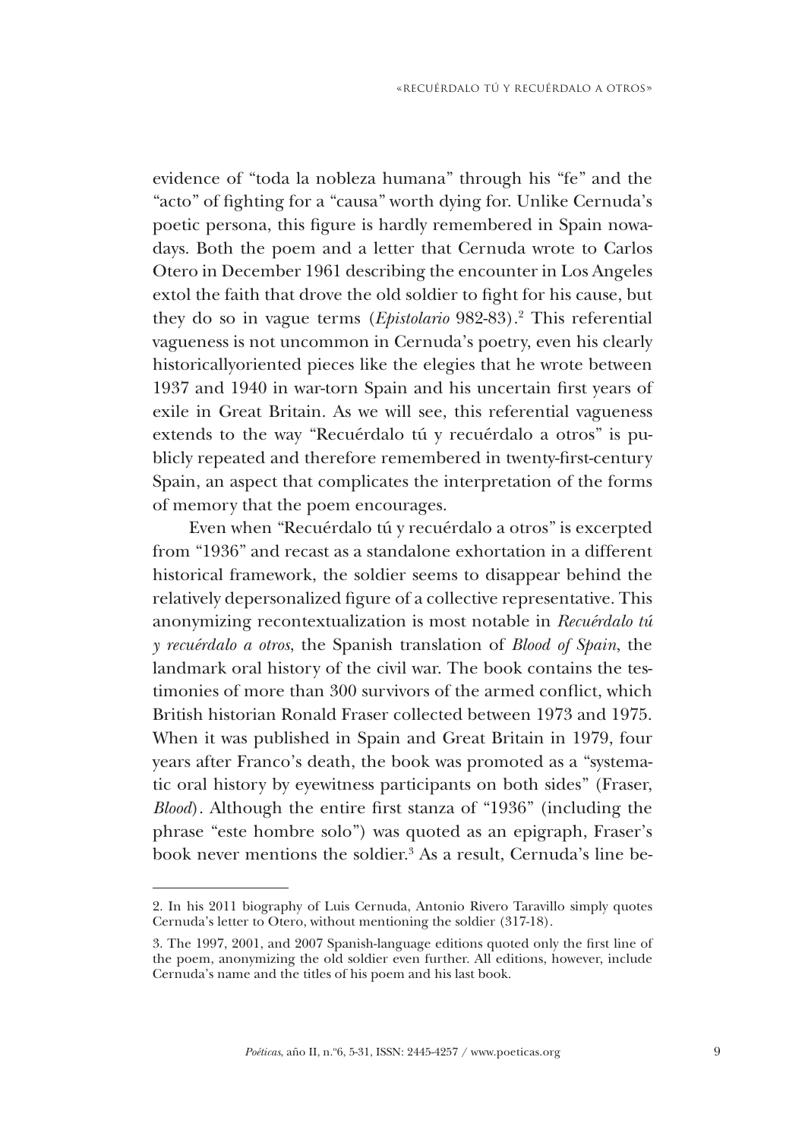evidence of "toda la nobleza humana" through his "fe" and the "acto" of fighting for a "causa" worth dying for. Unlike Cernuda's poetic persona, this figure is hardly remembered in Spain nowadays. Both the poem and a letter that Cernuda wrote to Carlos Otero in December 1961 describing the encounter in Los Angeles extol the faith that drove the old soldier to fight for his cause, but they do so in vague terms (*Epistolario* 982-83).<sup>2</sup> This referential vagueness is not uncommon in Cernuda's poetry, even his clearly historicallyoriented pieces like the elegies that he wrote between 1937 and 1940 in war-torn Spain and his uncertain first years of exile in Great Britain. As we will see, this referential vagueness extends to the way "Recuérdalo tú y recuérdalo a otros" is publicly repeated and therefore remembered in twenty-first-century Spain, an aspect that complicates the interpretation of the forms of memory that the poem encourages.

Even when "Recuérdalo tú y recuérdalo a otros" is excerpted from "1936" and recast as a standalone exhortation in a different historical framework, the soldier seems to disappear behind the relatively depersonalized figure of a collective representative. This anonymizing recontextualization is most notable in *Recuérdalo tú y recuérdalo a otros*, the Spanish translation of *Blood of Spain*, the landmark oral history of the civil war. The book contains the testimonies of more than 300 survivors of the armed conflict, which British historian Ronald Fraser collected between 1973 and 1975. When it was published in Spain and Great Britain in 1979, four years after Franco's death, the book was promoted as a "systematic oral history by eyewitness participants on both sides" (Fraser, *Blood*). Although the entire first stanza of "1936" (including the phrase "este hombre solo") was quoted as an epigraph, Fraser's book never mentions the soldier.<sup>3</sup> As a result, Cernuda's line be-

<sup>2.</sup> In his 2011 biography of Luis Cernuda, Antonio Rivero Taravillo simply quotes Cernuda's letter to Otero, without mentioning the soldier (317-18).

<sup>3.</sup> The 1997, 2001, and 2007 Spanish-language editions quoted only the first line of the poem, anonymizing the old soldier even further. All editions, however, include Cernuda's name and the titles of his poem and his last book.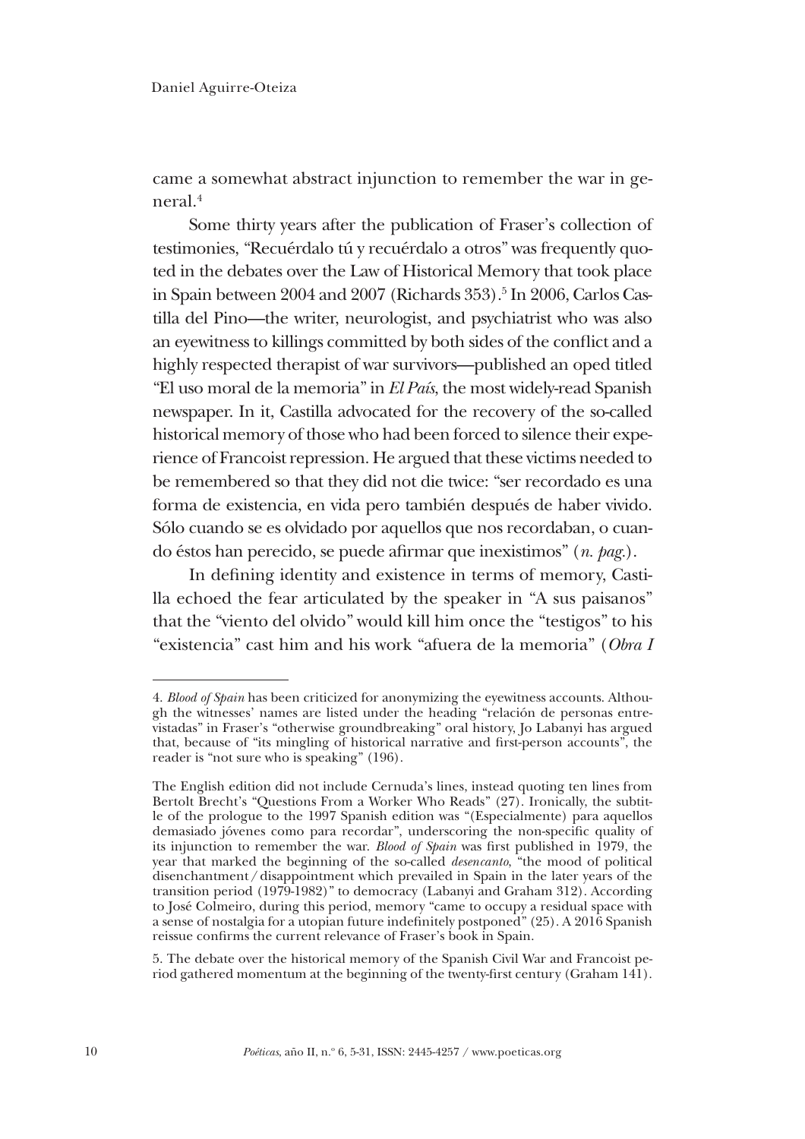came a somewhat abstract injunction to remember the war in general.4

Some thirty years after the publication of Fraser's collection of testimonies, "Recuérdalo tú y recuérdalo a otros" was frequently quoted in the debates over the Law of Historical Memory that took place in Spain between 2004 and 2007 (Richards 353).<sup>5</sup> In 2006, Carlos Castilla del Pino—the writer, neurologist, and psychiatrist who was also an eyewitness to killings committed by both sides of the conflict and a highly respected therapist of war survivors—published an oped titled "El uso moral de la memoria" in *El País*, the most widely-read Spanish newspaper. In it, Castilla advocated for the recovery of the so-called historical memory of those who had been forced to silence their experience of Francoist repression. He argued that these victims needed to be remembered so that they did not die twice: "ser recordado es una forma de existencia, en vida pero también después de haber vivido. Sólo cuando se es olvidado por aquellos que nos recordaban, o cuando éstos han perecido, se puede afirmar que inexistimos" (*n. pag.*).

In defining identity and existence in terms of memory, Castilla echoed the fear articulated by the speaker in "A sus paisanos" that the "viento del olvido" would kill him once the "testigos" to his "existencia" cast him and his work "afuera de la memoria" (*Obra I*

5. The debate over the historical memory of the Spanish Civil War and Francoist period gathered momentum at the beginning of the twenty-first century (Graham 141).

<sup>4.</sup> *Blood of Spain* has been criticized for anonymizing the eyewitness accounts. Although the witnesses' names are listed under the heading "relación de personas entrevistadas" in Fraser's "otherwise groundbreaking" oral history, Jo Labanyi has argued that, because of "its mingling of historical narrative and first-person accounts", the reader is "not sure who is speaking" (196).

The English edition did not include Cernuda's lines, instead quoting ten lines from Bertolt Brecht's "Questions From a Worker Who Reads" (27). Ironically, the subtitle of the prologue to the 1997 Spanish edition was "(Especialmente) para aquellos demasiado jóvenes como para recordar", underscoring the non-specific quality of its injunction to remember the war. *Blood of Spain* was first published in 1979, the year that marked the beginning of the so-called *desencanto*, "the mood of political disenchantment/disappointment which prevailed in Spain in the later years of the transition period (1979-1982)" to democracy (Labanyi and Graham 312). According to José Colmeiro, during this period, memory "came to occupy a residual space with a sense of nostalgia for a utopian future indefinitely postponed" (25). A 2016 Spanish reissue confirms the current relevance of Fraser's book in Spain.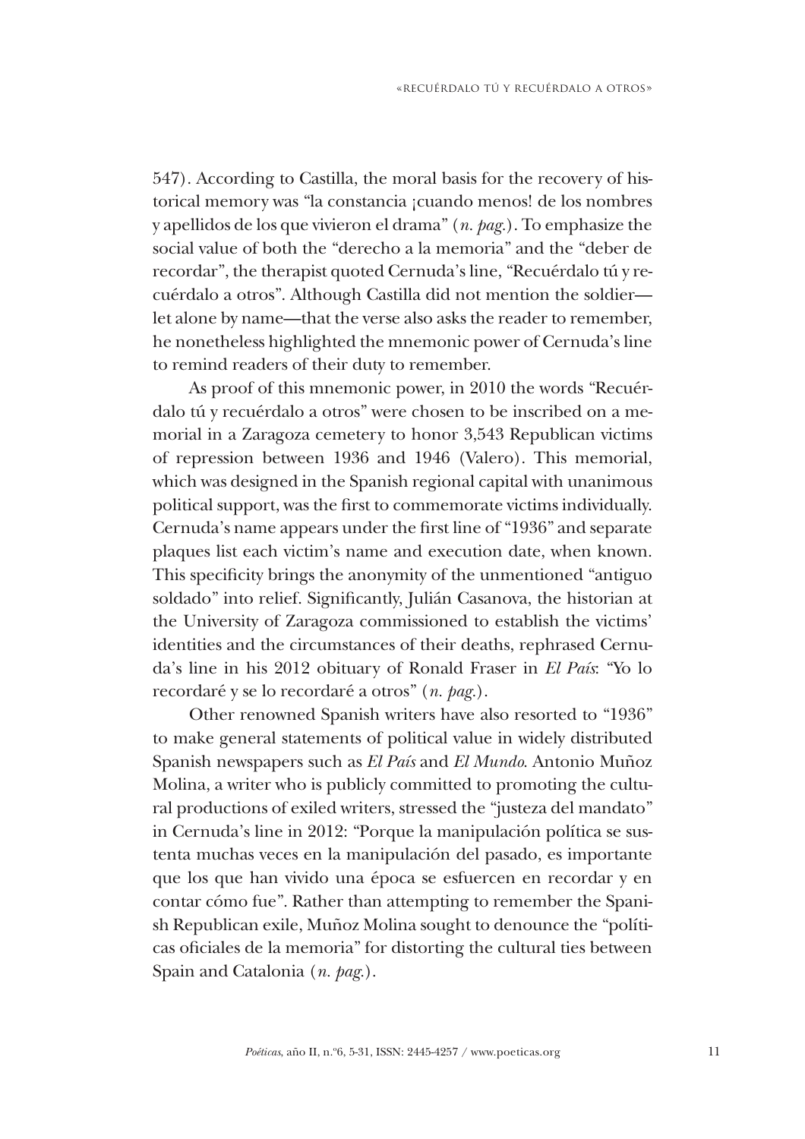547). According to Castilla, the moral basis for the recovery of historical memory was "la constancia ¡cuando menos! de los nombres y apellidos de los que vivieron el drama" (*n. pag.*). To emphasize the social value of both the "derecho a la memoria" and the "deber de recordar", the therapist quoted Cernuda's line, "Recuérdalo tú y recuérdalo a otros". Although Castilla did not mention the soldier let alone by name—that the verse also asks the reader to remember, he nonetheless highlighted the mnemonic power of Cernuda's line to remind readers of their duty to remember.

As proof of this mnemonic power, in 2010 the words "Recuérdalo tú y recuérdalo a otros" were chosen to be inscribed on a memorial in a Zaragoza cemetery to honor 3,543 Republican victims of repression between 1936 and 1946 (Valero). This memorial, which was designed in the Spanish regional capital with unanimous political support, was the first to commemorate victims individually. Cernuda's name appears under the first line of "1936" and separate plaques list each victim's name and execution date, when known. This specificity brings the anonymity of the unmentioned "antiguo soldado" into relief. Significantly, Julián Casanova, the historian at the University of Zaragoza commissioned to establish the victims' identities and the circumstances of their deaths, rephrased Cernuda's line in his 2012 obituary of Ronald Fraser in *El País*: "Yo lo recordaré y se lo recordaré a otros" (*n. pag.*).

Other renowned Spanish writers have also resorted to "1936" to make general statements of political value in widely distributed Spanish newspapers such as *El País* and *El Mundo*. Antonio Muñoz Molina, a writer who is publicly committed to promoting the cultural productions of exiled writers, stressed the "justeza del mandato" in Cernuda's line in 2012: "Porque la manipulación política se sustenta muchas veces en la manipulación del pasado, es importante que los que han vivido una época se esfuercen en recordar y en contar cómo fue". Rather than attempting to remember the Spanish Republican exile, Muñoz Molina sought to denounce the "políticas oficiales de la memoria" for distorting the cultural ties between Spain and Catalonia (*n. pag.*).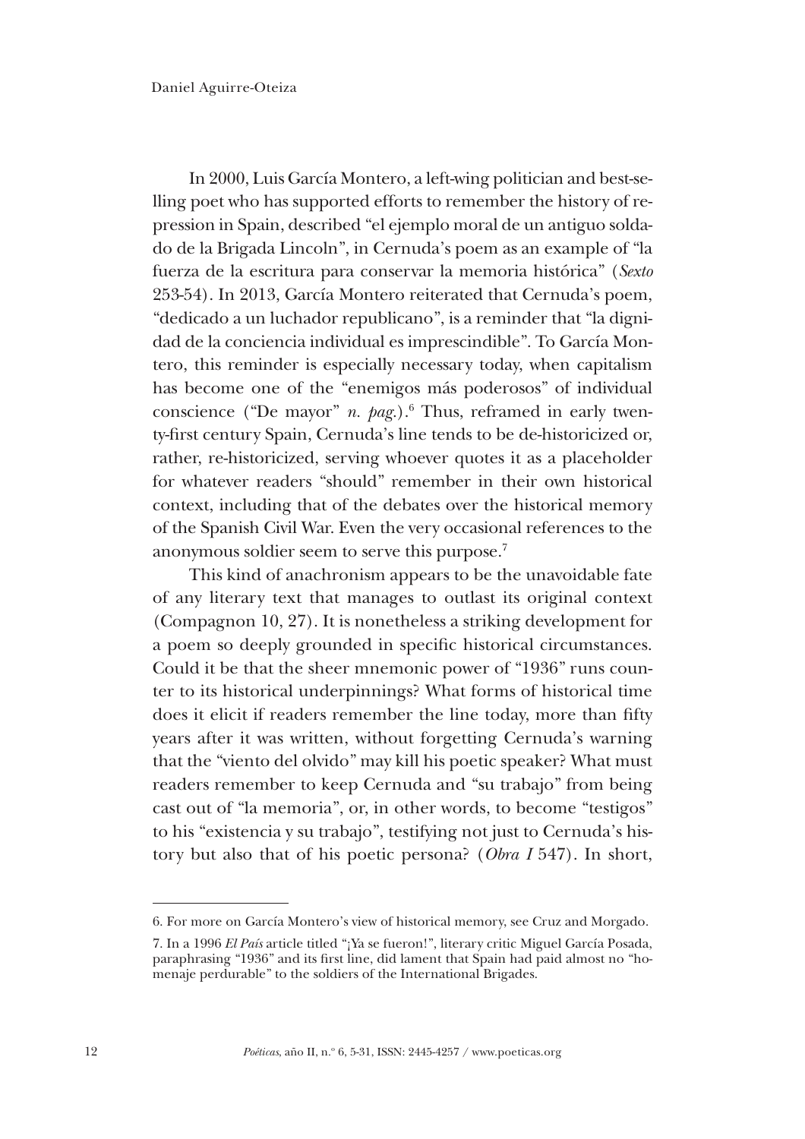In 2000, Luis García Montero, a left-wing politician and best-selling poet who has supported efforts to remember the history of repression in Spain, described "el ejemplo moral de un antiguo soldado de la Brigada Lincoln", in Cernuda's poem as an example of "la fuerza de la escritura para conservar la memoria histórica" (*Sexto* 253-54). In 2013, García Montero reiterated that Cernuda's poem, "dedicado a un luchador republicano", is a reminder that "la dignidad de la conciencia individual es imprescindible". To García Montero, this reminder is especially necessary today, when capitalism has become one of the "enemigos más poderosos" of individual conscience ("De mayor" *n. pag.*).<sup>6</sup> Thus, reframed in early twenty-first century Spain, Cernuda's line tends to be de-historicized or, rather, re-historicized, serving whoever quotes it as a placeholder for whatever readers "should" remember in their own historical context, including that of the debates over the historical memory of the Spanish Civil War. Even the very occasional references to the anonymous soldier seem to serve this purpose.7

This kind of anachronism appears to be the unavoidable fate of any literary text that manages to outlast its original context (Compagnon 10, 27). It is nonetheless a striking development for a poem so deeply grounded in specific historical circumstances. Could it be that the sheer mnemonic power of "1936" runs counter to its historical underpinnings? What forms of historical time does it elicit if readers remember the line today, more than fifty years after it was written, without forgetting Cernuda's warning that the "viento del olvido" may kill his poetic speaker? What must readers remember to keep Cernuda and "su trabajo" from being cast out of "la memoria", or, in other words, to become "testigos" to his "existencia y su trabajo", testifying not just to Cernuda's history but also that of his poetic persona? (*Obra I* 547). In short,

<sup>6.</sup> For more on García Montero's view of historical memory, see Cruz and Morgado.

<sup>7.</sup> In a 1996 *El País* article titled "¡Ya se fueron!", literary critic Miguel García Posada, paraphrasing "1936" and its first line, did lament that Spain had paid almost no "homenaje perdurable" to the soldiers of the International Brigades.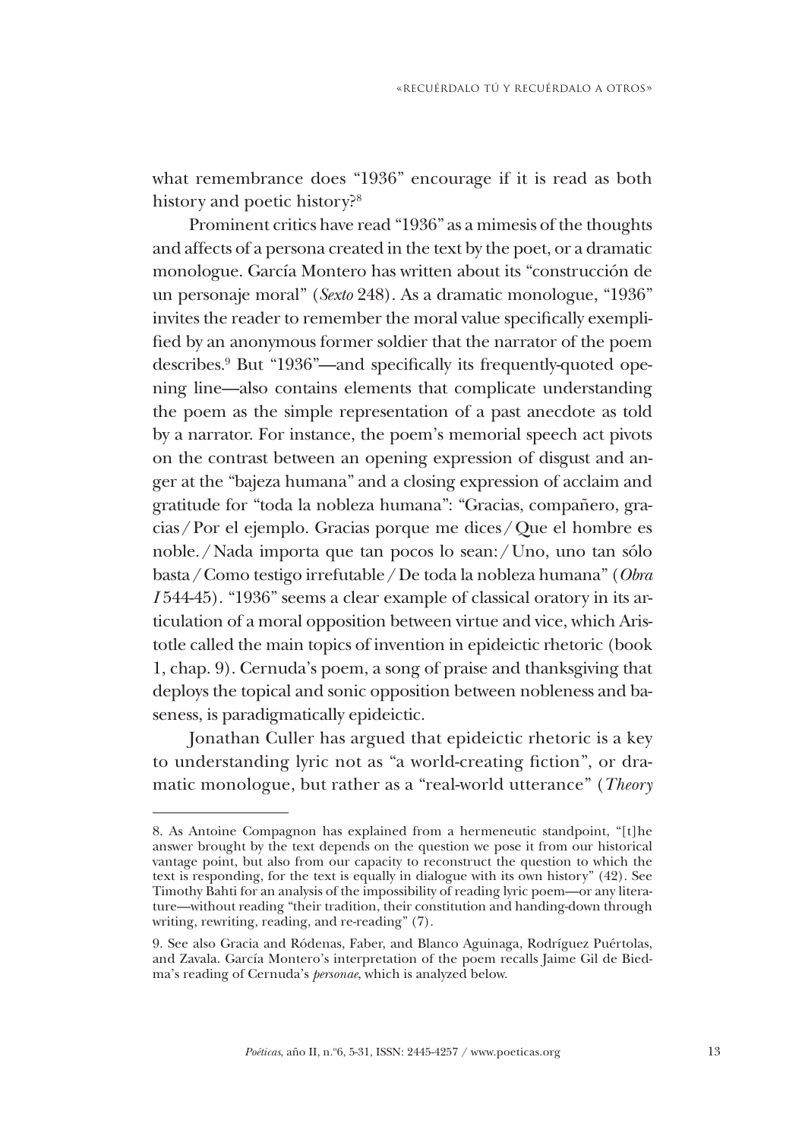what remembrance does "1936" encourage if it is read as both history and poetic history?8

Prominent critics have read "1936" as a mimesis of the thoughts and affects of a persona created in the text by the poet, or a dramatic monologue. García Montero has written about its "construcción de un personaje moral" (*Sexto* 248). As a dramatic monologue, "1936" invites the reader to remember the moral value specifically exemplified by an anonymous former soldier that the narrator of the poem describes.9 But "1936"—and specifically its frequently-quoted opening line—also contains elements that complicate understanding the poem as the simple representation of a past anecdote as told by a narrator. For instance, the poem's memorial speech act pivots on the contrast between an opening expression of disgust and anger at the "bajeza humana" and a closing expression of acclaim and gratitude for "toda la nobleza humana": "Gracias, compañero, gracias/Por el ejemplo. Gracias porque me dices/Que el hombre es noble./Nada importa que tan pocos lo sean:/Uno, uno tan sólo basta/Como testigo irrefutable/De toda la nobleza humana" (*Obra I* 544-45). "1936" seems a clear example of classical oratory in its articulation of a moral opposition between virtue and vice, which Aristotle called the main topics of invention in epideictic rhetoric (book 1, chap. 9). Cernuda's poem, a song of praise and thanksgiving that deploys the topical and sonic opposition between nobleness and baseness, is paradigmatically epideictic.

Jonathan Culler has argued that epideictic rhetoric is a key to understanding lyric not as "a world-creating fiction", or dramatic monologue, but rather as a "real-world utterance" (*Theory*

<sup>8.</sup> As Antoine Compagnon has explained from a hermeneutic standpoint, "[t]he answer brought by the text depends on the question we pose it from our historical vantage point, but also from our capacity to reconstruct the question to which the text is responding, for the text is equally in dialogue with its own history" (42). See Timothy Bahti for an analysis of the impossibility of reading lyric poem—or any literature—without reading "their tradition, their constitution and handing-down through writing, rewriting, reading, and re-reading" (7).

<sup>9.</sup> See also Gracia and Ródenas, Faber, and Blanco Aguinaga, Rodríguez Puértolas, and Zavala. García Montero's interpretation of the poem recalls Jaime Gil de Biedma's reading of Cernuda's *personae*, which is analyzed below.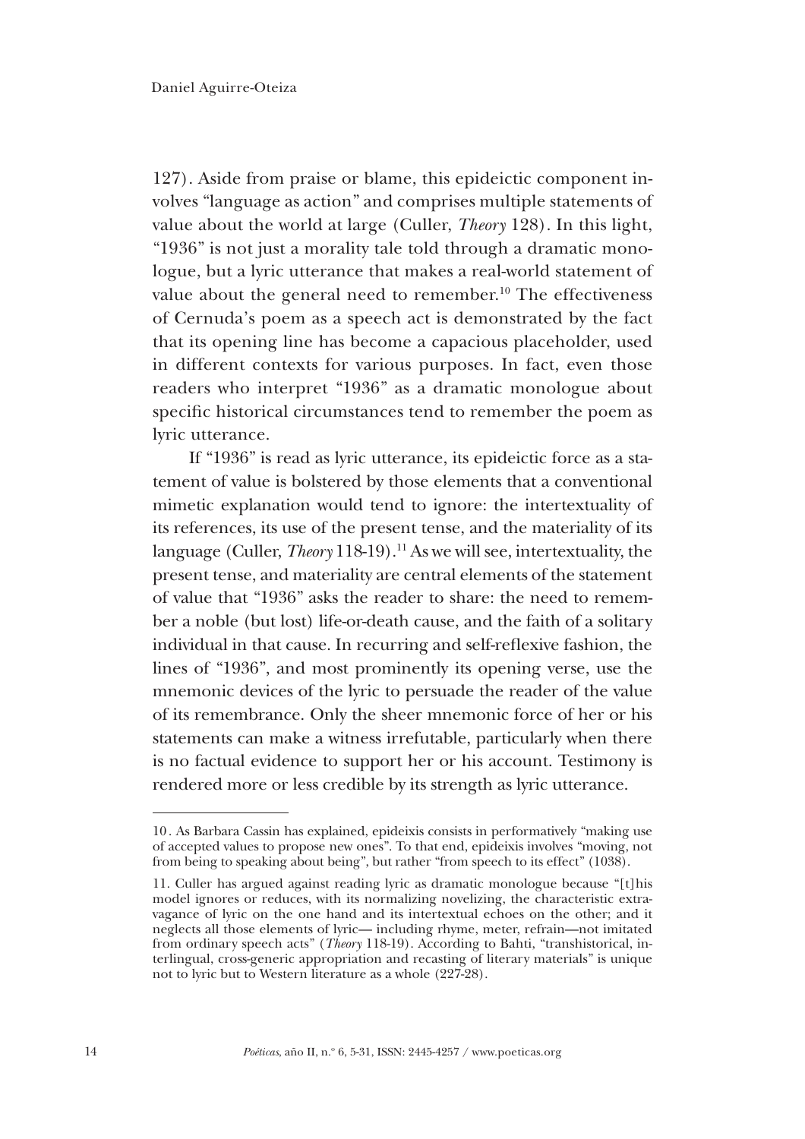127). Aside from praise or blame, this epideictic component involves "language as action" and comprises multiple statements of value about the world at large (Culler, *Theory* 128). In this light, "1936" is not just a morality tale told through a dramatic monologue, but a lyric utterance that makes a real-world statement of value about the general need to remember.<sup>10</sup> The effectiveness of Cernuda's poem as a speech act is demonstrated by the fact that its opening line has become a capacious placeholder, used in different contexts for various purposes. In fact, even those readers who interpret "1936" as a dramatic monologue about specific historical circumstances tend to remember the poem as lyric utterance.

If "1936" is read as lyric utterance, its epideictic force as a statement of value is bolstered by those elements that a conventional mimetic explanation would tend to ignore: the intertextuality of its references, its use of the present tense, and the materiality of its language (Culler, *Theory* 118-19).<sup>11</sup> As we will see, intertextuality, the present tense, and materiality are central elements of the statement of value that "1936" asks the reader to share: the need to remember a noble (but lost) life-or-death cause, and the faith of a solitary individual in that cause. In recurring and self-reflexive fashion, the lines of "1936", and most prominently its opening verse, use the mnemonic devices of the lyric to persuade the reader of the value of its remembrance. Only the sheer mnemonic force of her or his statements can make a witness irrefutable, particularly when there is no factual evidence to support her or his account. Testimony is rendered more or less credible by its strength as lyric utterance.

<sup>10.</sup> As Barbara Cassin has explained, epideixis consists in performatively "making use of accepted values to propose new ones". To that end, epideixis involves "moving, not from being to speaking about being", but rather "from speech to its effect" (1038).

<sup>11.</sup> Culler has argued against reading lyric as dramatic monologue because "[t]his model ignores or reduces, with its normalizing novelizing, the characteristic extravagance of lyric on the one hand and its intertextual echoes on the other; and it neglects all those elements of lyric— including rhyme, meter, refrain—not imitated from ordinary speech acts" (*Theory* 118-19). According to Bahti, "transhistorical, interlingual, cross-generic appropriation and recasting of literary materials" is unique not to lyric but to Western literature as a whole (227-28).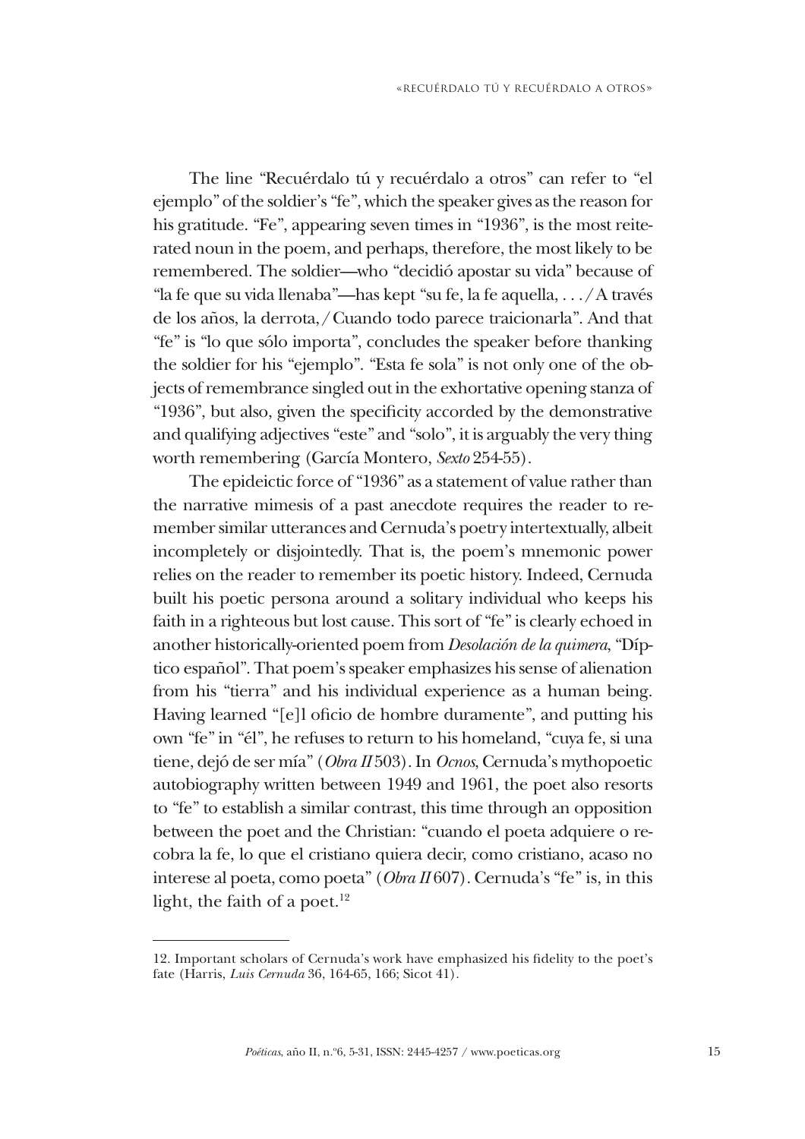The line "Recuérdalo tú y recuérdalo a otros" can refer to "el ejemplo" of the soldier's "fe", which the speaker gives as the reason for his gratitude. "Fe", appearing seven times in "1936", is the most reiterated noun in the poem, and perhaps, therefore, the most likely to be remembered. The soldier—who "decidió apostar su vida" because of "la fe que su vida llenaba"—has kept "su fe, la fe aquella, . . ./A través de los años, la derrota,/Cuando todo parece traicionarla". And that "fe" is "lo que sólo importa", concludes the speaker before thanking the soldier for his "ejemplo". "Esta fe sola" is not only one of the objects of remembrance singled out in the exhortative opening stanza of "1936", but also, given the specificity accorded by the demonstrative and qualifying adjectives "este" and "solo", it is arguably the very thing worth remembering (García Montero, *Sexto* 254-55).

The epideictic force of "1936" as a statement of value rather than the narrative mimesis of a past anecdote requires the reader to remember similar utterances and Cernuda's poetry intertextually, albeit incompletely or disjointedly. That is, the poem's mnemonic power relies on the reader to remember its poetic history. Indeed, Cernuda built his poetic persona around a solitary individual who keeps his faith in a righteous but lost cause. This sort of "fe" is clearly echoed in another historically-oriented poem from *Desolación de la quimera*, "Díptico español". That poem's speaker emphasizes his sense of alienation from his "tierra" and his individual experience as a human being. Having learned "[e]l oficio de hombre duramente", and putting his own "fe" in "él", he refuses to return to his homeland, "cuya fe, si una tiene, dejó de ser mía" (*Obra II* 503). In *Ocnos*, Cernuda's mythopoetic autobiography written between 1949 and 1961, the poet also resorts to "fe" to establish a similar contrast, this time through an opposition between the poet and the Christian: "cuando el poeta adquiere o recobra la fe, lo que el cristiano quiera decir, como cristiano, acaso no interese al poeta, como poeta" (*Obra II* 607). Cernuda's "fe" is, in this light, the faith of a poet.<sup>12</sup>

<sup>12.</sup> Important scholars of Cernuda's work have emphasized his fidelity to the poet's fate (Harris, *Luis Cernuda* 36, 164-65, 166; Sicot 41).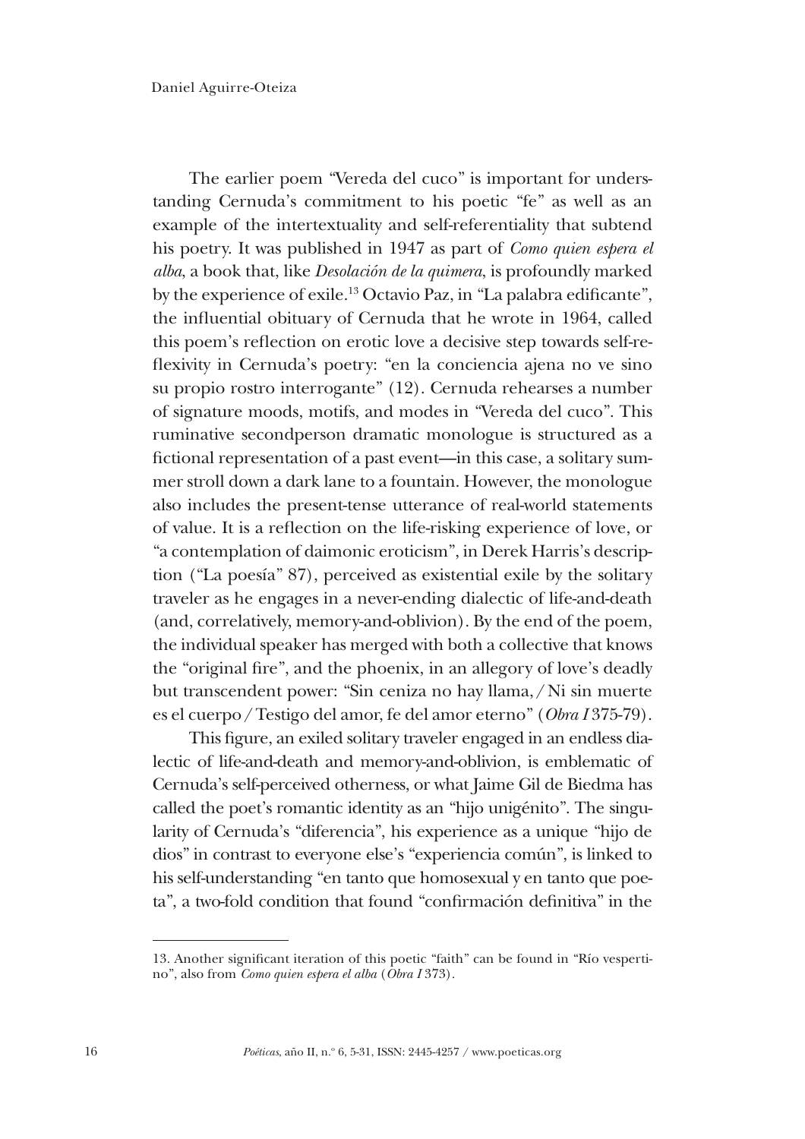The earlier poem "Vereda del cuco" is important for understanding Cernuda's commitment to his poetic "fe" as well as an example of the intertextuality and self-referentiality that subtend his poetry. It was published in 1947 as part of *Como quien espera el alba*, a book that, like *Desolación de la quimera*, is profoundly marked by the experience of exile.13 Octavio Paz, in "La palabra edificante", the influential obituary of Cernuda that he wrote in 1964, called this poem's reflection on erotic love a decisive step towards self-reflexivity in Cernuda's poetry: "en la conciencia ajena no ve sino su propio rostro interrogante" (12). Cernuda rehearses a number of signature moods, motifs, and modes in "Vereda del cuco". This ruminative secondperson dramatic monologue is structured as a fictional representation of a past event—in this case, a solitary summer stroll down a dark lane to a fountain. However, the monologue also includes the present-tense utterance of real-world statements of value. It is a reflection on the life-risking experience of love, or "a contemplation of daimonic eroticism", in Derek Harris's description ("La poesía" 87), perceived as existential exile by the solitary traveler as he engages in a never-ending dialectic of life-and-death (and, correlatively, memory-and-oblivion). By the end of the poem, the individual speaker has merged with both a collective that knows the "original fire", and the phoenix, in an allegory of love's deadly but transcendent power: "Sin ceniza no hay llama,/Ni sin muerte es el cuerpo/Testigo del amor, fe del amor eterno" (*Obra I* 375-79).

This figure, an exiled solitary traveler engaged in an endless dialectic of life-and-death and memory-and-oblivion, is emblematic of Cernuda's self-perceived otherness, or what Jaime Gil de Biedma has called the poet's romantic identity as an "hijo unigénito". The singularity of Cernuda's "diferencia", his experience as a unique "hijo de dios" in contrast to everyone else's "experiencia común", is linked to his self-understanding "en tanto que homosexual y en tanto que poeta", a two-fold condition that found "confirmación definitiva" in the

<sup>13.</sup> Another significant iteration of this poetic "faith" can be found in "Río vespertino", also from *Como quien espera el alba* (*Obra I* 373).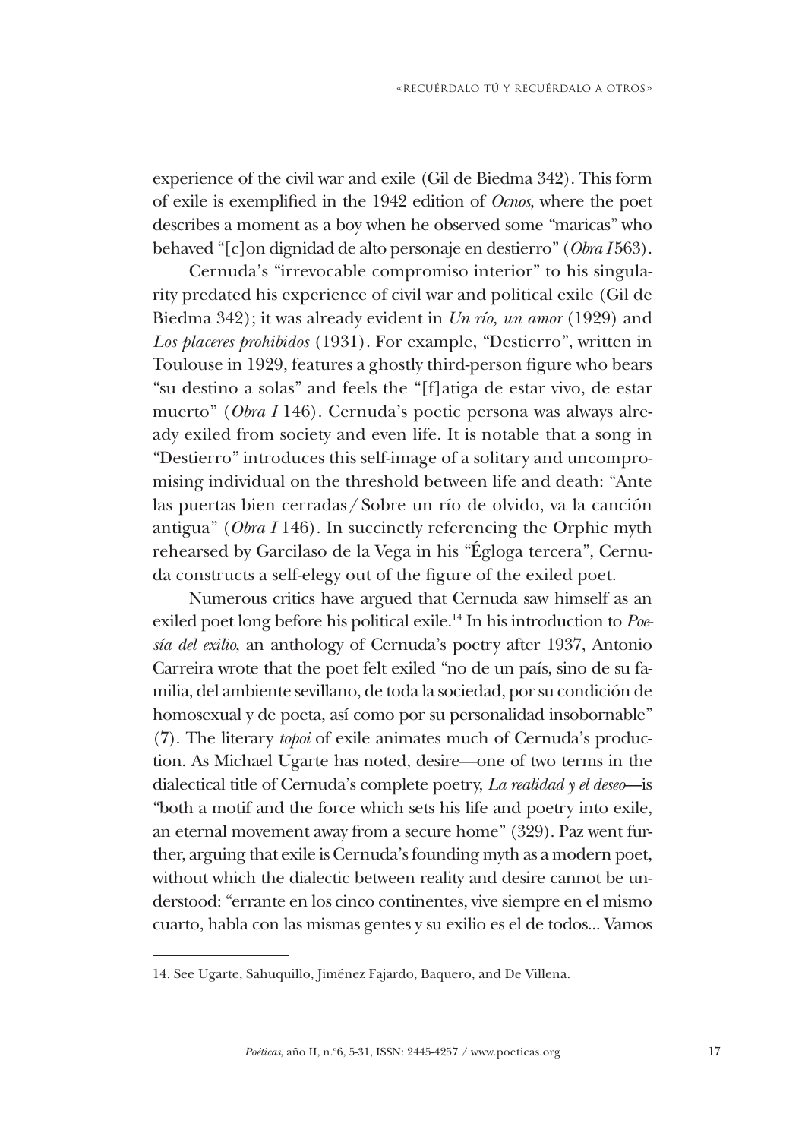experience of the civil war and exile (Gil de Biedma 342). This form of exile is exemplified in the 1942 edition of *Ocnos*, where the poet describes a moment as a boy when he observed some "maricas" who behaved "[c]on dignidad de alto personaje en destierro" (*Obra I* 563).

Cernuda's "irrevocable compromiso interior" to his singularity predated his experience of civil war and political exile (Gil de Biedma 342); it was already evident in *Un río, un amor* (1929) and *Los placeres prohibidos* (1931). For example, "Destierro", written in Toulouse in 1929, features a ghostly third-person figure who bears "su destino a solas" and feels the "[f]atiga de estar vivo, de estar muerto" (*Obra I* 146). Cernuda's poetic persona was always already exiled from society and even life. It is notable that a song in "Destierro" introduces this self-image of a solitary and uncompromising individual on the threshold between life and death: "Ante las puertas bien cerradas/Sobre un río de olvido, va la canción antigua" (*Obra I* 146). In succinctly referencing the Orphic myth rehearsed by Garcilaso de la Vega in his "Égloga tercera", Cernuda constructs a self-elegy out of the figure of the exiled poet.

Numerous critics have argued that Cernuda saw himself as an exiled poet long before his political exile.14 In his introduction to *Poesía del exilio*, an anthology of Cernuda's poetry after 1937, Antonio Carreira wrote that the poet felt exiled "no de un país, sino de su familia, del ambiente sevillano, de toda la sociedad, por su condición de homosexual y de poeta, así como por su personalidad insobornable" (7). The literary *topoi* of exile animates much of Cernuda's production. As Michael Ugarte has noted, desire—one of two terms in the dialectical title of Cernuda's complete poetry, *La realidad y el deseo*—is "both a motif and the force which sets his life and poetry into exile, an eternal movement away from a secure home" (329). Paz went further, arguing that exile is Cernuda's founding myth as a modern poet, without which the dialectic between reality and desire cannot be understood: "errante en los cinco continentes, vive siempre en el mismo cuarto, habla con las mismas gentes y su exilio es el de todos... Vamos

<sup>14.</sup> See Ugarte, Sahuquillo, Jiménez Fajardo, Baquero, and De Villena.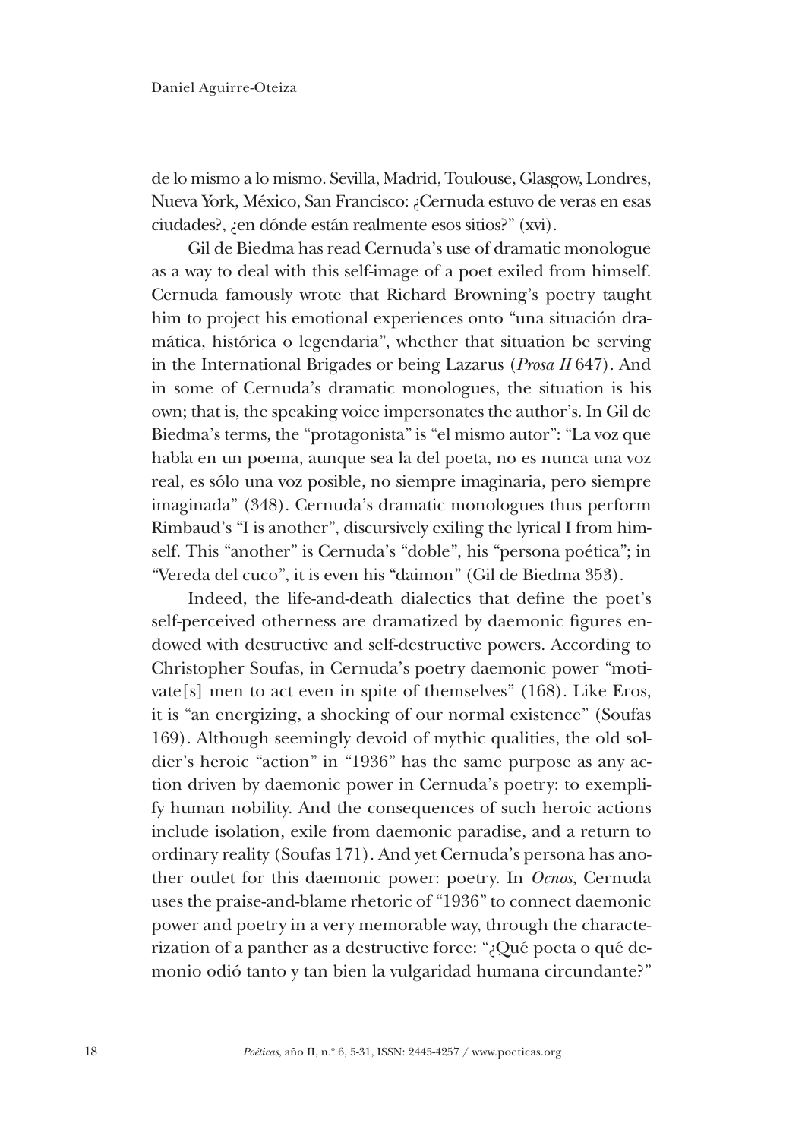de lo mismo a lo mismo. Sevilla, Madrid, Toulouse, Glasgow, Londres, Nueva York, México, San Francisco: ¿Cernuda estuvo de veras en esas ciudades?, ¿en dónde están realmente esos sitios?" (xvi).

Gil de Biedma has read Cernuda's use of dramatic monologue as a way to deal with this self-image of a poet exiled from himself. Cernuda famously wrote that Richard Browning's poetry taught him to project his emotional experiences onto "una situación dramática, histórica o legendaria", whether that situation be serving in the International Brigades or being Lazarus (*Prosa II* 647). And in some of Cernuda's dramatic monologues, the situation is his own; that is, the speaking voice impersonates the author's. In Gil de Biedma's terms, the "protagonista" is "el mismo autor": "La voz que habla en un poema, aunque sea la del poeta, no es nunca una voz real, es sólo una voz posible, no siempre imaginaria, pero siempre imaginada" (348). Cernuda's dramatic monologues thus perform Rimbaud's "I is another", discursively exiling the lyrical I from himself. This "another" is Cernuda's "doble", his "persona poética"; in "Vereda del cuco", it is even his "daimon" (Gil de Biedma 353).

Indeed, the life-and-death dialectics that define the poet's self-perceived otherness are dramatized by daemonic figures endowed with destructive and self-destructive powers. According to Christopher Soufas, in Cernuda's poetry daemonic power "motivate[s] men to act even in spite of themselves" (168). Like Eros, it is "an energizing, a shocking of our normal existence" (Soufas 169). Although seemingly devoid of mythic qualities, the old soldier's heroic "action" in "1936" has the same purpose as any action driven by daemonic power in Cernuda's poetry: to exemplify human nobility. And the consequences of such heroic actions include isolation, exile from daemonic paradise, and a return to ordinary reality (Soufas 171). And yet Cernuda's persona has another outlet for this daemonic power: poetry. In *Ocnos*, Cernuda uses the praise-and-blame rhetoric of "1936" to connect daemonic power and poetry in a very memorable way, through the characterization of a panther as a destructive force: "¿Qué poeta o qué demonio odió tanto y tan bien la vulgaridad humana circundante?"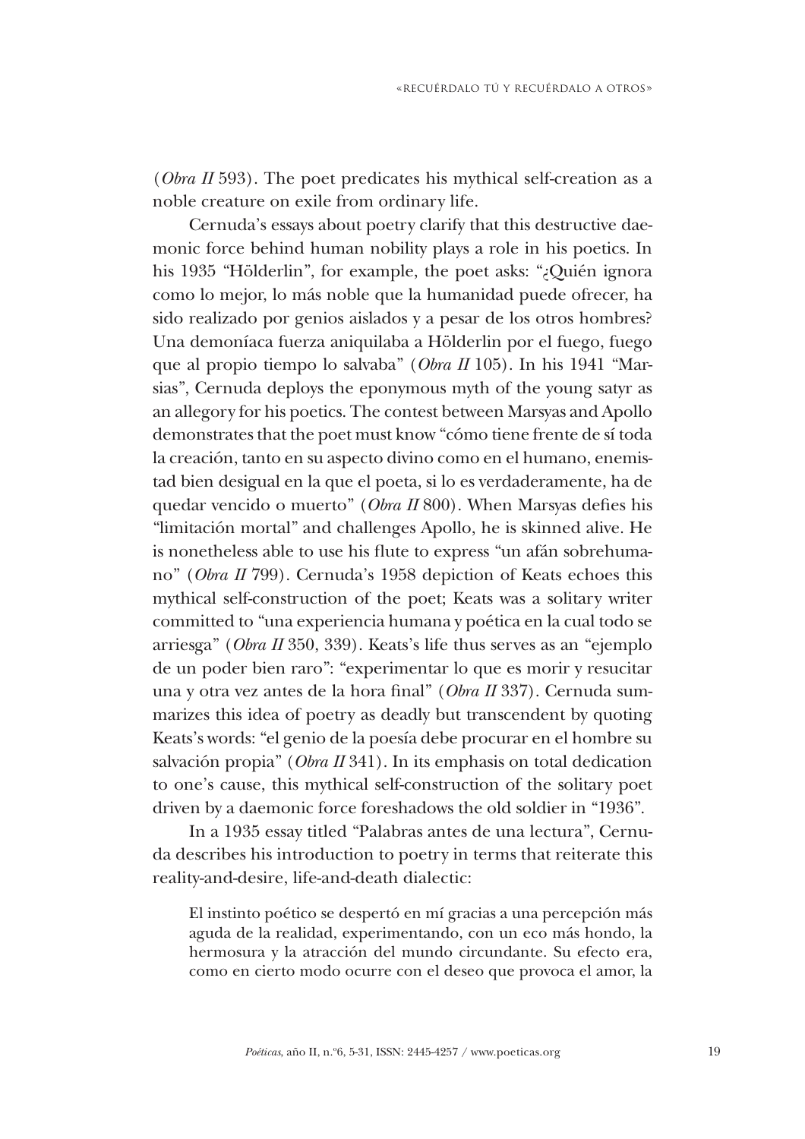(*Obra II* 593). The poet predicates his mythical self-creation as a noble creature on exile from ordinary life.

Cernuda's essays about poetry clarify that this destructive daemonic force behind human nobility plays a role in his poetics. In his 1935 "Hölderlin", for example, the poet asks: "¿Quién ignora como lo mejor, lo más noble que la humanidad puede ofrecer, ha sido realizado por genios aislados y a pesar de los otros hombres? Una demoníaca fuerza aniquilaba a Hölderlin por el fuego, fuego que al propio tiempo lo salvaba" (*Obra II* 105). In his 1941 "Marsias", Cernuda deploys the eponymous myth of the young satyr as an allegory for his poetics. The contest between Marsyas and Apollo demonstrates that the poet must know "cómo tiene frente de sí toda la creación, tanto en su aspecto divino como en el humano, enemistad bien desigual en la que el poeta, si lo es verdaderamente, ha de quedar vencido o muerto" (*Obra II* 800). When Marsyas defies his "limitación mortal" and challenges Apollo, he is skinned alive. He is nonetheless able to use his flute to express "un afán sobrehumano" (*Obra II* 799). Cernuda's 1958 depiction of Keats echoes this mythical self-construction of the poet; Keats was a solitary writer committed to "una experiencia humana y poética en la cual todo se arriesga" (*Obra II* 350, 339). Keats's life thus serves as an "ejemplo de un poder bien raro": "experimentar lo que es morir y resucitar una y otra vez antes de la hora final" (*Obra II* 337). Cernuda summarizes this idea of poetry as deadly but transcendent by quoting Keats's words: "el genio de la poesía debe procurar en el hombre su salvación propia" (*Obra II* 341). In its emphasis on total dedication to one's cause, this mythical self-construction of the solitary poet driven by a daemonic force foreshadows the old soldier in "1936".

In a 1935 essay titled "Palabras antes de una lectura", Cernuda describes his introduction to poetry in terms that reiterate this reality-and-desire, life-and-death dialectic:

El instinto poético se despertó en mí gracias a una percepción más aguda de la realidad, experimentando, con un eco más hondo, la hermosura y la atracción del mundo circundante. Su efecto era, como en cierto modo ocurre con el deseo que provoca el amor, la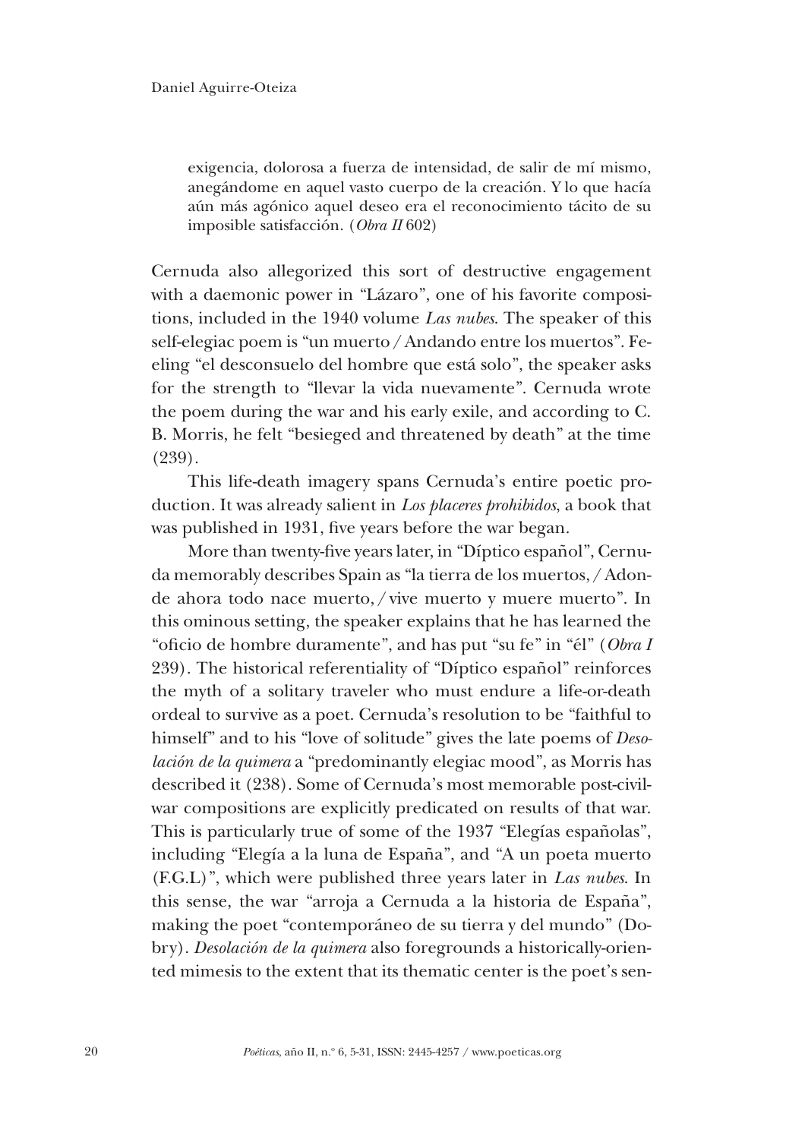exigencia, dolorosa a fuerza de intensidad, de salir de mí mismo, anegándome en aquel vasto cuerpo de la creación. Y lo que hacía aún más agónico aquel deseo era el reconocimiento tácito de su imposible satisfacción. (*Obra II* 602)

Cernuda also allegorized this sort of destructive engagement with a daemonic power in "Lázaro", one of his favorite compositions, included in the 1940 volume *Las nubes*. The speaker of this self-elegiac poem is "un muerto/Andando entre los muertos". Feeling "el desconsuelo del hombre que está solo", the speaker asks for the strength to "llevar la vida nuevamente". Cernuda wrote the poem during the war and his early exile, and according to C. B. Morris, he felt "besieged and threatened by death" at the time (239).

This life-death imagery spans Cernuda's entire poetic production. It was already salient in *Los placeres prohibidos*, a book that was published in 1931, five years before the war began.

More than twenty-five years later, in "Díptico español", Cernuda memorably describes Spain as "la tierra de los muertos,/Adonde ahora todo nace muerto,/vive muerto y muere muerto". In this ominous setting, the speaker explains that he has learned the "oficio de hombre duramente", and has put "su fe" in "él" (*Obra I* 239). The historical referentiality of "Díptico español" reinforces the myth of a solitary traveler who must endure a life-or-death ordeal to survive as a poet. Cernuda's resolution to be "faithful to himself" and to his "love of solitude" gives the late poems of *Desolación de la quimera* a "predominantly elegiac mood", as Morris has described it (238). Some of Cernuda's most memorable post-civilwar compositions are explicitly predicated on results of that war. This is particularly true of some of the 1937 "Elegías españolas", including "Elegía a la luna de España", and "A un poeta muerto (F.G.L)", which were published three years later in *Las nubes*. In this sense, the war "arroja a Cernuda a la historia de España", making the poet "contemporáneo de su tierra y del mundo" (Dobry). *Desolación de la quimera* also foregrounds a historically-oriented mimesis to the extent that its thematic center is the poet's sen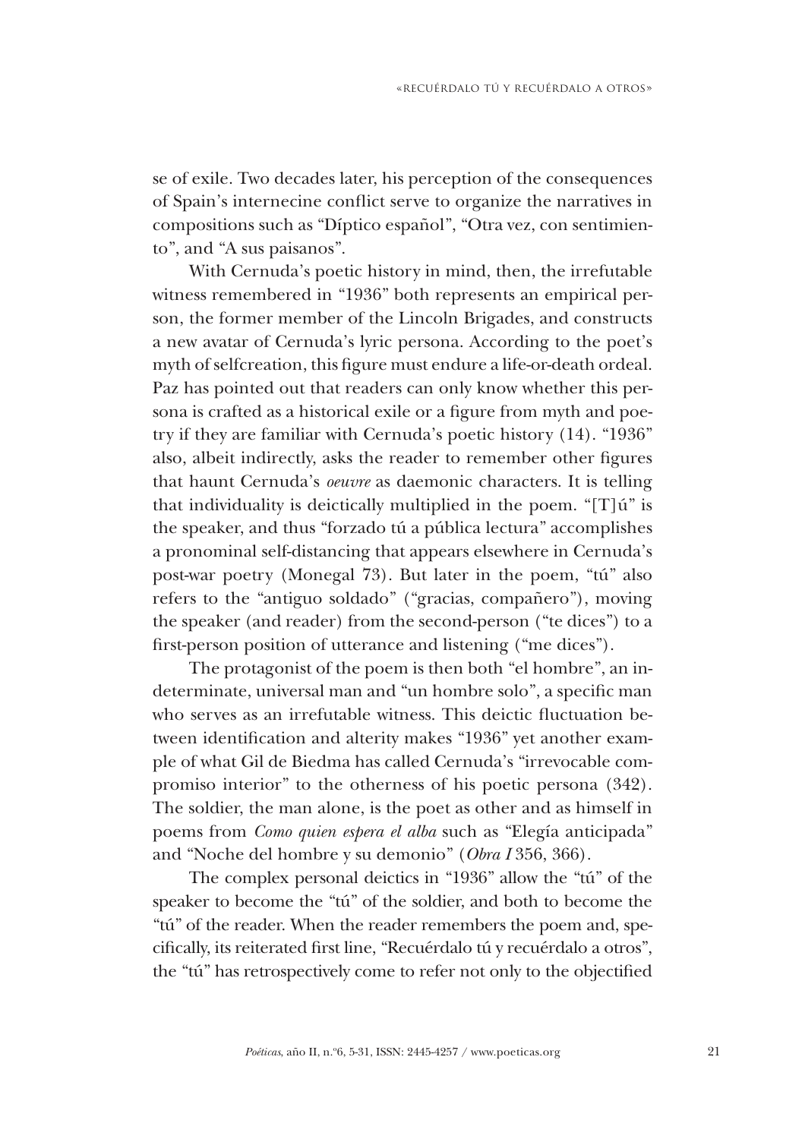se of exile. Two decades later, his perception of the consequences of Spain's internecine conflict serve to organize the narratives in compositions such as "Díptico español", "Otra vez, con sentimiento", and "A sus paisanos".

With Cernuda's poetic history in mind, then, the irrefutable witness remembered in "1936" both represents an empirical person, the former member of the Lincoln Brigades, and constructs a new avatar of Cernuda's lyric persona. According to the poet's myth of selfcreation, this figure must endure a life-or-death ordeal. Paz has pointed out that readers can only know whether this persona is crafted as a historical exile or a figure from myth and poetry if they are familiar with Cernuda's poetic history (14). "1936" also, albeit indirectly, asks the reader to remember other figures that haunt Cernuda's *oeuvre* as daemonic characters. It is telling that individuality is deictically multiplied in the poem. " $[T]$ ú" is the speaker, and thus "forzado tú a pública lectura" accomplishes a pronominal self-distancing that appears elsewhere in Cernuda's post-war poetry (Monegal 73). But later in the poem, "tú" also refers to the "antiguo soldado" ("gracias, compañero"), moving the speaker (and reader) from the second-person ("te dices") to a first-person position of utterance and listening ("me dices").

The protagonist of the poem is then both "el hombre", an indeterminate, universal man and "un hombre solo", a specific man who serves as an irrefutable witness. This deictic fluctuation between identification and alterity makes "1936" yet another example of what Gil de Biedma has called Cernuda's "irrevocable compromiso interior" to the otherness of his poetic persona (342). The soldier, the man alone, is the poet as other and as himself in poems from *Como quien espera el alba* such as "Elegía anticipada" and "Noche del hombre y su demonio" (*Obra I* 356, 366).

The complex personal deictics in "1936" allow the "tú" of the speaker to become the "tú" of the soldier, and both to become the "tú" of the reader. When the reader remembers the poem and, specifically, its reiterated first line, "Recuérdalo tú y recuérdalo a otros", the "tú" has retrospectively come to refer not only to the objectified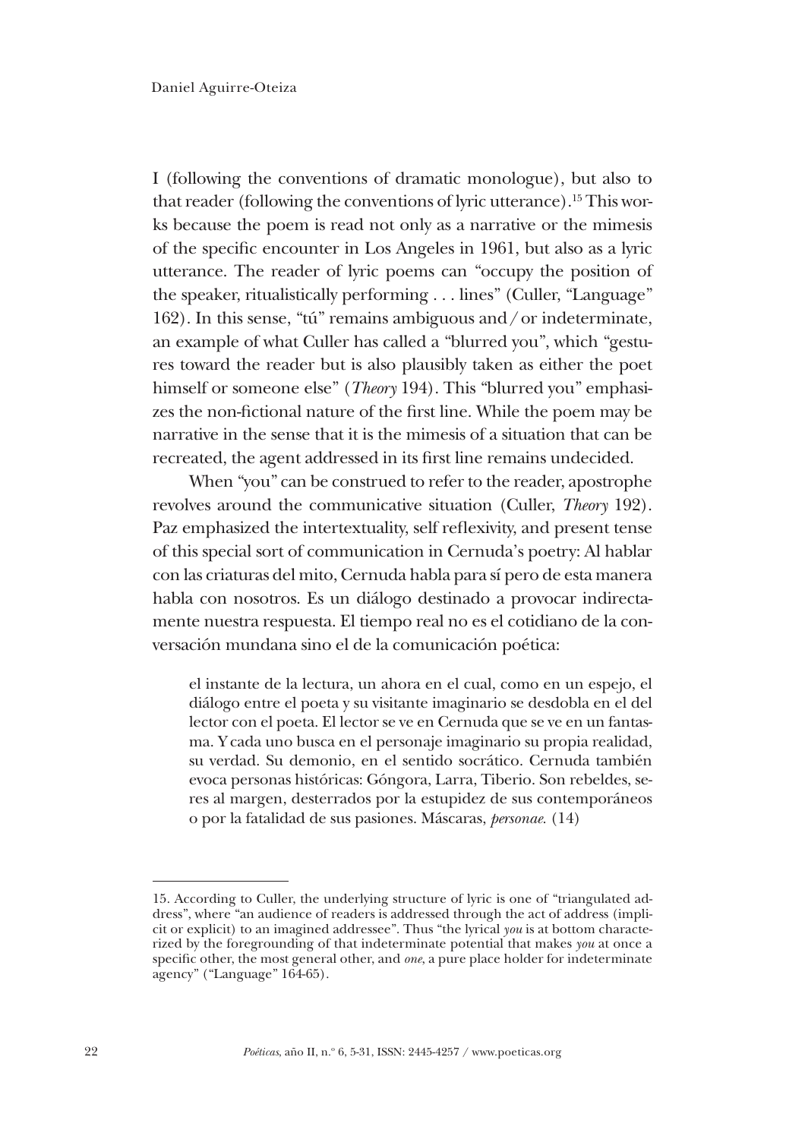I (following the conventions of dramatic monologue), but also to that reader (following the conventions of lyric utterance).15 This works because the poem is read not only as a narrative or the mimesis of the specific encounter in Los Angeles in 1961, but also as a lyric utterance. The reader of lyric poems can "occupy the position of the speaker, ritualistically performing . . . lines" (Culler, "Language" 162). In this sense, "tú" remains ambiguous and/or indeterminate, an example of what Culler has called a "blurred you", which "gestures toward the reader but is also plausibly taken as either the poet himself or someone else" (*Theory* 194). This "blurred you" emphasizes the non-fictional nature of the first line. While the poem may be narrative in the sense that it is the mimesis of a situation that can be recreated, the agent addressed in its first line remains undecided.

When "you" can be construed to refer to the reader, apostrophe revolves around the communicative situation (Culler, *Theory* 192). Paz emphasized the intertextuality, self reflexivity, and present tense of this special sort of communication in Cernuda's poetry: Al hablar con las criaturas del mito, Cernuda habla para sí pero de esta manera habla con nosotros. Es un diálogo destinado a provocar indirectamente nuestra respuesta. El tiempo real no es el cotidiano de la conversación mundana sino el de la comunicación poética:

el instante de la lectura, un ahora en el cual, como en un espejo, el diálogo entre el poeta y su visitante imaginario se desdobla en el del lector con el poeta. El lector se ve en Cernuda que se ve en un fantasma. Y cada uno busca en el personaje imaginario su propia realidad, su verdad. Su demonio, en el sentido socrático. Cernuda también evoca personas históricas: Góngora, Larra, Tiberio. Son rebeldes, seres al margen, desterrados por la estupidez de sus contemporáneos o por la fatalidad de sus pasiones. Máscaras, *personae.* (14)

<sup>15.</sup> According to Culler, the underlying structure of lyric is one of "triangulated address", where "an audience of readers is addressed through the act of address (implicit or explicit) to an imagined addressee". Thus "the lyrical *you* is at bottom characterized by the foregrounding of that indeterminate potential that makes *you* at once a specific other, the most general other, and *one*, a pure place holder for indeterminate agency" ("Language" 164-65).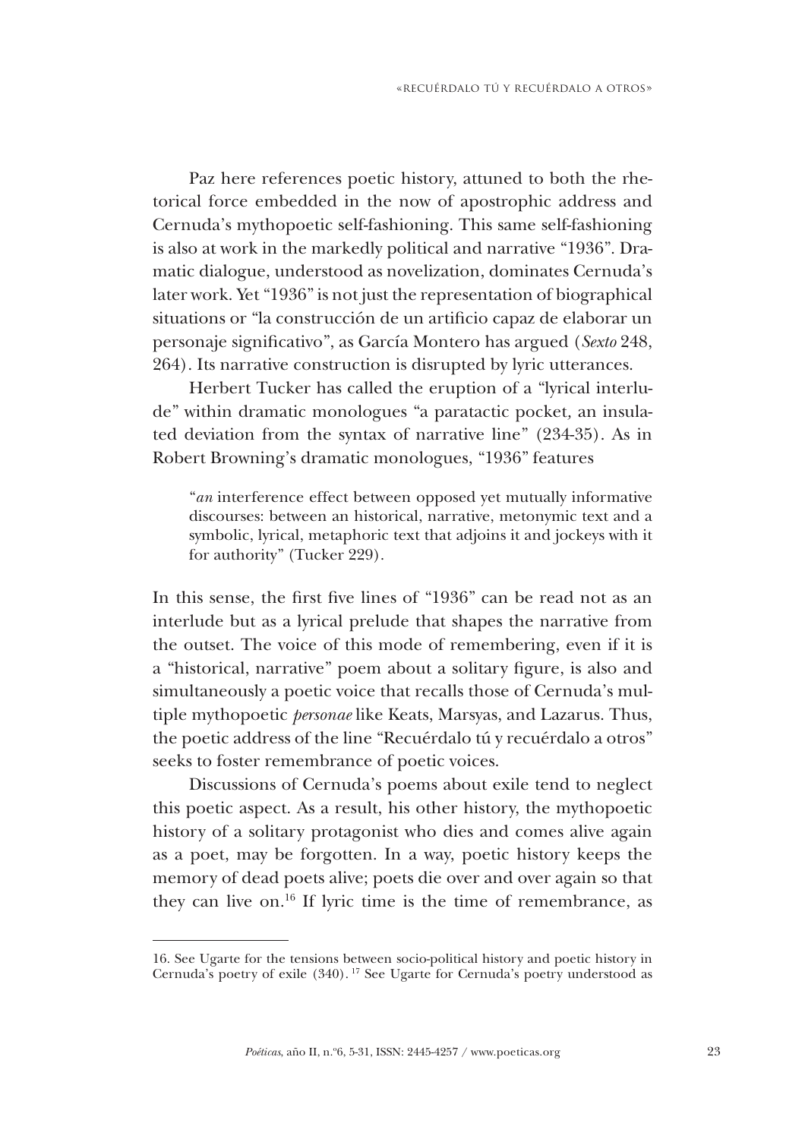Paz here references poetic history, attuned to both the rhetorical force embedded in the now of apostrophic address and Cernuda's mythopoetic self-fashioning. This same self-fashioning is also at work in the markedly political and narrative "1936". Dramatic dialogue, understood as novelization, dominates Cernuda's later work. Yet "1936" is not just the representation of biographical situations or "la construcción de un artificio capaz de elaborar un personaje significativo", as García Montero has argued (*Sexto* 248, 264). Its narrative construction is disrupted by lyric utterances.

Herbert Tucker has called the eruption of a "lyrical interlude" within dramatic monologues "a paratactic pocket*,* an insulated deviation from the syntax of narrative line" (234-35). As in Robert Browning's dramatic monologues, "1936" features

"*an* interference effect between opposed yet mutually informative discourses: between an historical, narrative, metonymic text and a symbolic, lyrical, metaphoric text that adjoins it and jockeys with it for authority" (Tucker 229).

In this sense, the first five lines of "1936" can be read not as an interlude but as a lyrical prelude that shapes the narrative from the outset. The voice of this mode of remembering, even if it is a "historical, narrative" poem about a solitary figure, is also and simultaneously a poetic voice that recalls those of Cernuda's multiple mythopoetic *personae* like Keats, Marsyas, and Lazarus. Thus, the poetic address of the line "Recuérdalo tú y recuérdalo a otros" seeks to foster remembrance of poetic voices.

Discussions of Cernuda's poems about exile tend to neglect this poetic aspect. As a result, his other history, the mythopoetic history of a solitary protagonist who dies and comes alive again as a poet, may be forgotten. In a way, poetic history keeps the memory of dead poets alive; poets die over and over again so that they can live on.16 If lyric time is the time of remembrance, as

<sup>16.</sup> See Ugarte for the tensions between socio-political history and poetic history in Cernuda's poetry of exile (340). 17 See Ugarte for Cernuda's poetry understood as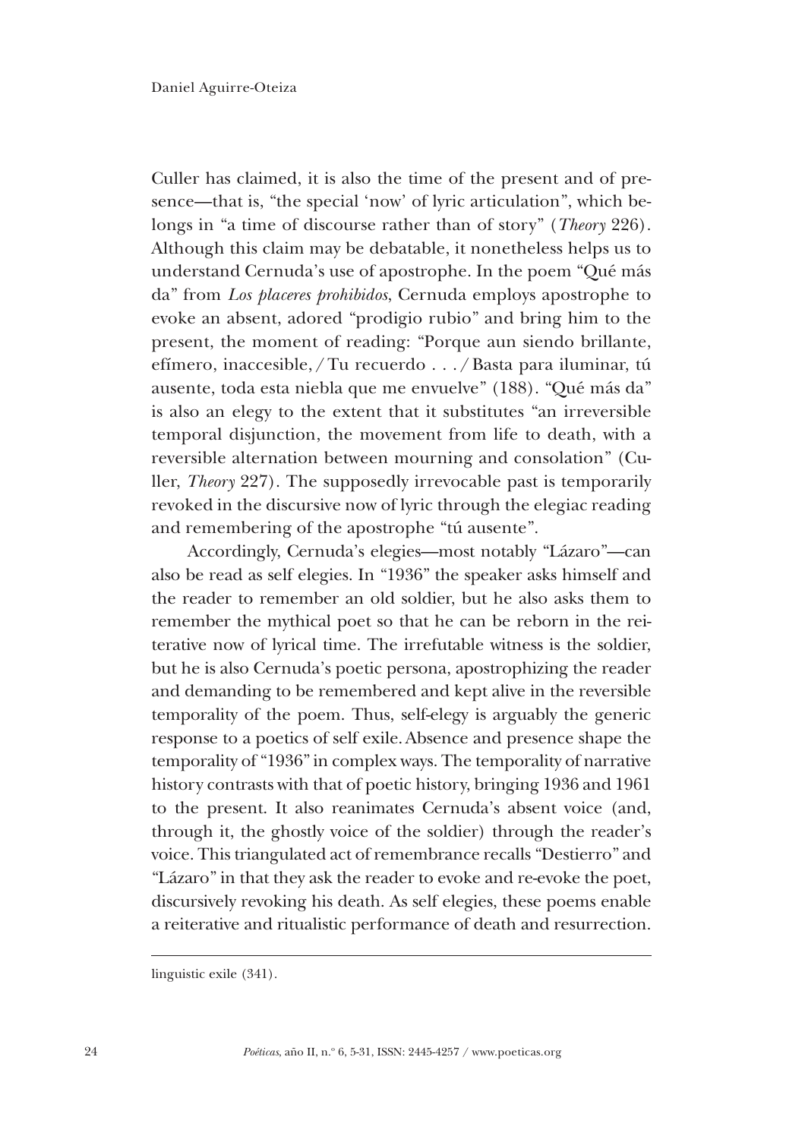Culler has claimed, it is also the time of the present and of presence—that is, "the special 'now' of lyric articulation", which belongs in "a time of discourse rather than of story" (*Theory* 226). Although this claim may be debatable, it nonetheless helps us to understand Cernuda's use of apostrophe. In the poem "Qué más da" from *Los placeres prohibidos*, Cernuda employs apostrophe to evoke an absent, adored "prodigio rubio" and bring him to the present, the moment of reading: "Porque aun siendo brillante, efímero, inaccesible,/Tu recuerdo . . ./Basta para iluminar, tú ausente, toda esta niebla que me envuelve" (188). "Qué más da" is also an elegy to the extent that it substitutes "an irreversible temporal disjunction, the movement from life to death, with a reversible alternation between mourning and consolation" (Culler, *Theory* 227). The supposedly irrevocable past is temporarily revoked in the discursive now of lyric through the elegiac reading and remembering of the apostrophe "tú ausente".

Accordingly, Cernuda's elegies—most notably "Lázaro"—can also be read as self elegies. In "1936" the speaker asks himself and the reader to remember an old soldier, but he also asks them to remember the mythical poet so that he can be reborn in the reiterative now of lyrical time. The irrefutable witness is the soldier, but he is also Cernuda's poetic persona, apostrophizing the reader and demanding to be remembered and kept alive in the reversible temporality of the poem. Thus, self-elegy is arguably the generic response to a poetics of self exile.Absence and presence shape the temporality of "1936" in complex ways. The temporality of narrative history contrasts with that of poetic history, bringing 1936 and 1961 to the present. It also reanimates Cernuda's absent voice (and, through it, the ghostly voice of the soldier) through the reader's voice. This triangulated act of remembrance recalls "Destierro" and "Lázaro" in that they ask the reader to evoke and re-evoke the poet, discursively revoking his death. As self elegies, these poems enable a reiterative and ritualistic performance of death and resurrection.

linguistic exile (341).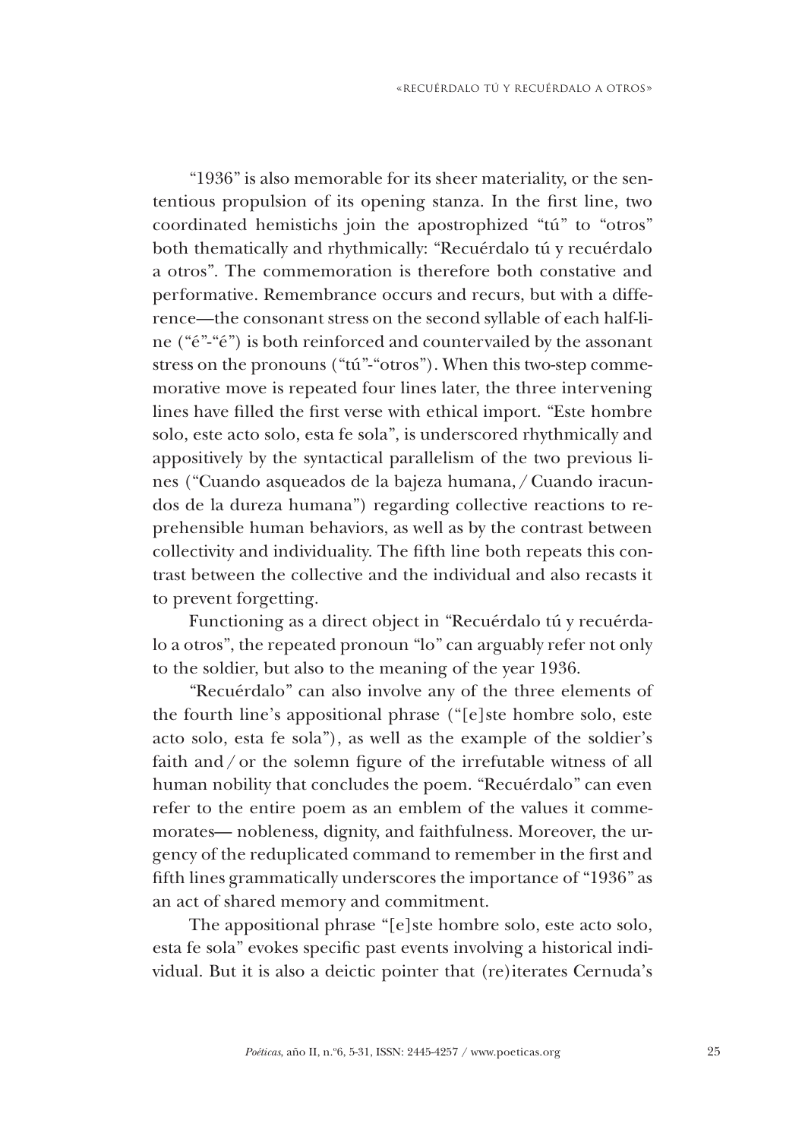"1936" is also memorable for its sheer materiality, or the sententious propulsion of its opening stanza. In the first line, two coordinated hemistichs join the apostrophized "tú" to "otros" both thematically and rhythmically: "Recuérdalo tú y recuérdalo a otros". The commemoration is therefore both constative and performative. Remembrance occurs and recurs, but with a difference—the consonant stress on the second syllable of each half-line ("é"-"é") is both reinforced and countervailed by the assonant stress on the pronouns ("tú"-"otros"). When this two-step commemorative move is repeated four lines later, the three intervening lines have filled the first verse with ethical import. "Este hombre solo, este acto solo, esta fe sola", is underscored rhythmically and appositively by the syntactical parallelism of the two previous lines ("Cuando asqueados de la bajeza humana,/Cuando iracundos de la dureza humana") regarding collective reactions to reprehensible human behaviors, as well as by the contrast between collectivity and individuality. The fifth line both repeats this contrast between the collective and the individual and also recasts it to prevent forgetting.

Functioning as a direct object in "Recuérdalo tú y recuérdalo a otros", the repeated pronoun "lo" can arguably refer not only to the soldier, but also to the meaning of the year 1936.

"Recuérdalo" can also involve any of the three elements of the fourth line's appositional phrase ("[e]ste hombre solo, este acto solo, esta fe sola"), as well as the example of the soldier's faith and/or the solemn figure of the irrefutable witness of all human nobility that concludes the poem. "Recuérdalo" can even refer to the entire poem as an emblem of the values it commemorates— nobleness, dignity, and faithfulness. Moreover, the urgency of the reduplicated command to remember in the first and fifth lines grammatically underscores the importance of "1936" as an act of shared memory and commitment.

The appositional phrase "[e]ste hombre solo, este acto solo, esta fe sola" evokes specific past events involving a historical individual. But it is also a deictic pointer that (re)iterates Cernuda's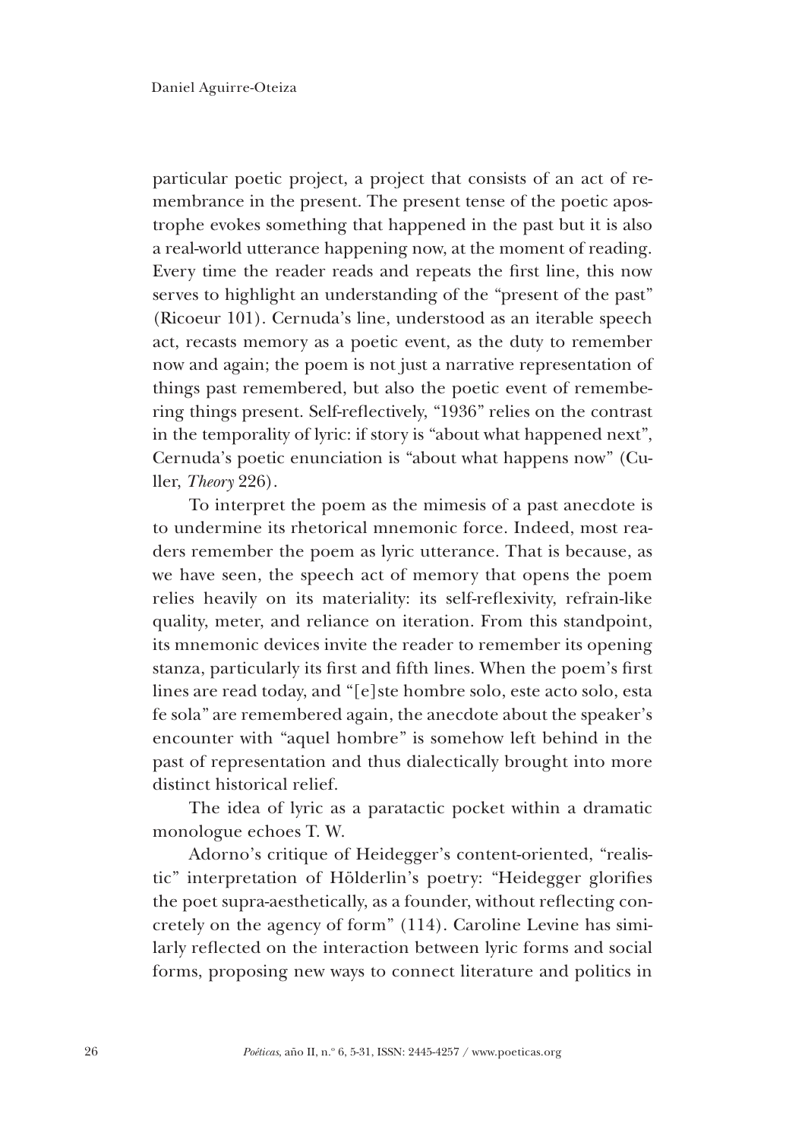particular poetic project, a project that consists of an act of remembrance in the present. The present tense of the poetic apostrophe evokes something that happened in the past but it is also a real-world utterance happening now, at the moment of reading. Every time the reader reads and repeats the first line, this now serves to highlight an understanding of the "present of the past" (Ricoeur 101). Cernuda's line, understood as an iterable speech act, recasts memory as a poetic event, as the duty to remember now and again; the poem is not just a narrative representation of things past remembered, but also the poetic event of remembering things present. Self-reflectively, "1936" relies on the contrast in the temporality of lyric: if story is "about what happened next", Cernuda's poetic enunciation is "about what happens now" (Culler, *Theory* 226).

To interpret the poem as the mimesis of a past anecdote is to undermine its rhetorical mnemonic force. Indeed, most readers remember the poem as lyric utterance. That is because, as we have seen, the speech act of memory that opens the poem relies heavily on its materiality: its self-reflexivity, refrain-like quality, meter, and reliance on iteration. From this standpoint, its mnemonic devices invite the reader to remember its opening stanza, particularly its first and fifth lines. When the poem's first lines are read today, and "[e]ste hombre solo, este acto solo, esta fe sola" are remembered again, the anecdote about the speaker's encounter with "aquel hombre" is somehow left behind in the past of representation and thus dialectically brought into more distinct historical relief.

The idea of lyric as a paratactic pocket within a dramatic monologue echoes T. W.

Adorno's critique of Heidegger's content-oriented, "realistic" interpretation of Hölderlin's poetry: "Heidegger glorifies the poet supra-aesthetically, as a founder, without reflecting concretely on the agency of form" (114). Caroline Levine has similarly reflected on the interaction between lyric forms and social forms, proposing new ways to connect literature and politics in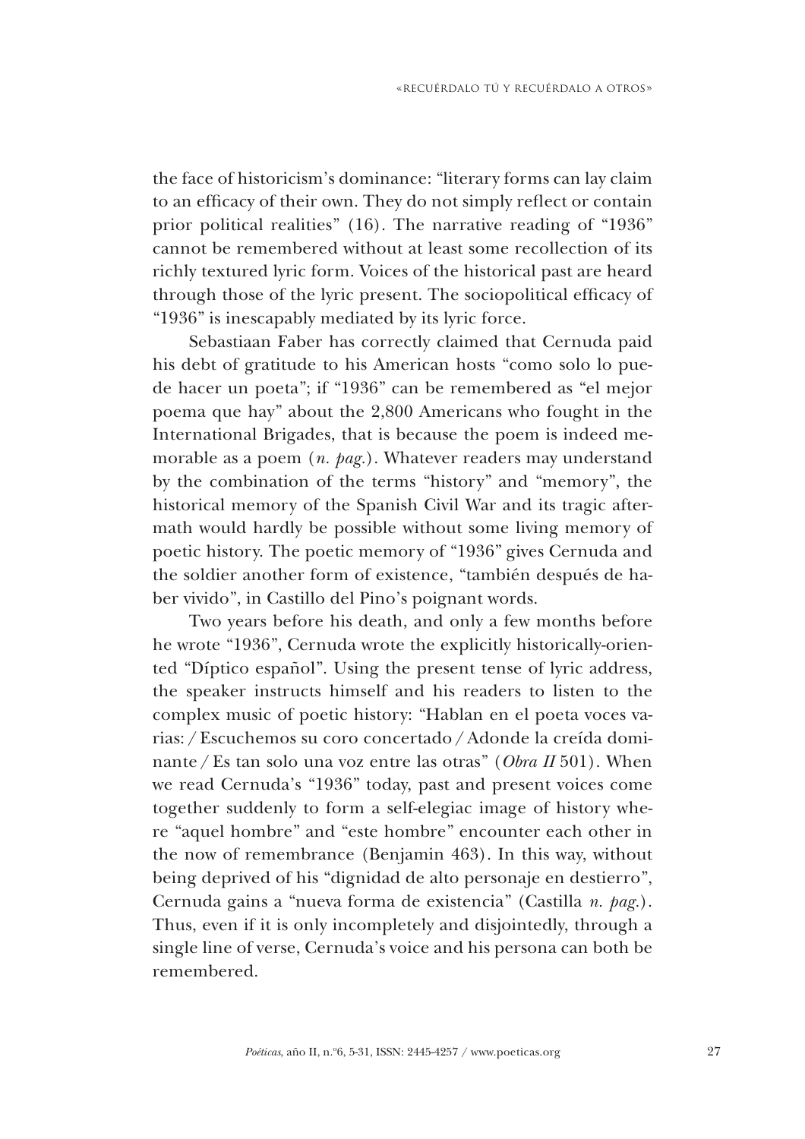the face of historicism's dominance: "literary forms can lay claim to an efficacy of their own. They do not simply reflect or contain prior political realities" (16). The narrative reading of "1936" cannot be remembered without at least some recollection of its richly textured lyric form. Voices of the historical past are heard through those of the lyric present. The sociopolitical efficacy of "1936" is inescapably mediated by its lyric force.

Sebastiaan Faber has correctly claimed that Cernuda paid his debt of gratitude to his American hosts "como solo lo puede hacer un poeta"; if "1936" can be remembered as "el mejor poema que hay" about the 2,800 Americans who fought in the International Brigades, that is because the poem is indeed memorable as a poem (*n. pag.*). Whatever readers may understand by the combination of the terms "history" and "memory", the historical memory of the Spanish Civil War and its tragic aftermath would hardly be possible without some living memory of poetic history. The poetic memory of "1936" gives Cernuda and the soldier another form of existence, "también después de haber vivido", in Castillo del Pino's poignant words.

Two years before his death, and only a few months before he wrote "1936", Cernuda wrote the explicitly historically-oriented "Díptico español". Using the present tense of lyric address, the speaker instructs himself and his readers to listen to the complex music of poetic history: "Hablan en el poeta voces varias:/Escuchemos su coro concertado/Adonde la creída dominante/Es tan solo una voz entre las otras" (*Obra II* 501). When we read Cernuda's "1936" today, past and present voices come together suddenly to form a self-elegiac image of history where "aquel hombre" and "este hombre" encounter each other in the now of remembrance (Benjamin 463). In this way, without being deprived of his "dignidad de alto personaje en destierro", Cernuda gains a "nueva forma de existencia" (Castilla *n. pag.*). Thus, even if it is only incompletely and disjointedly, through a single line of verse, Cernuda's voice and his persona can both be remembered.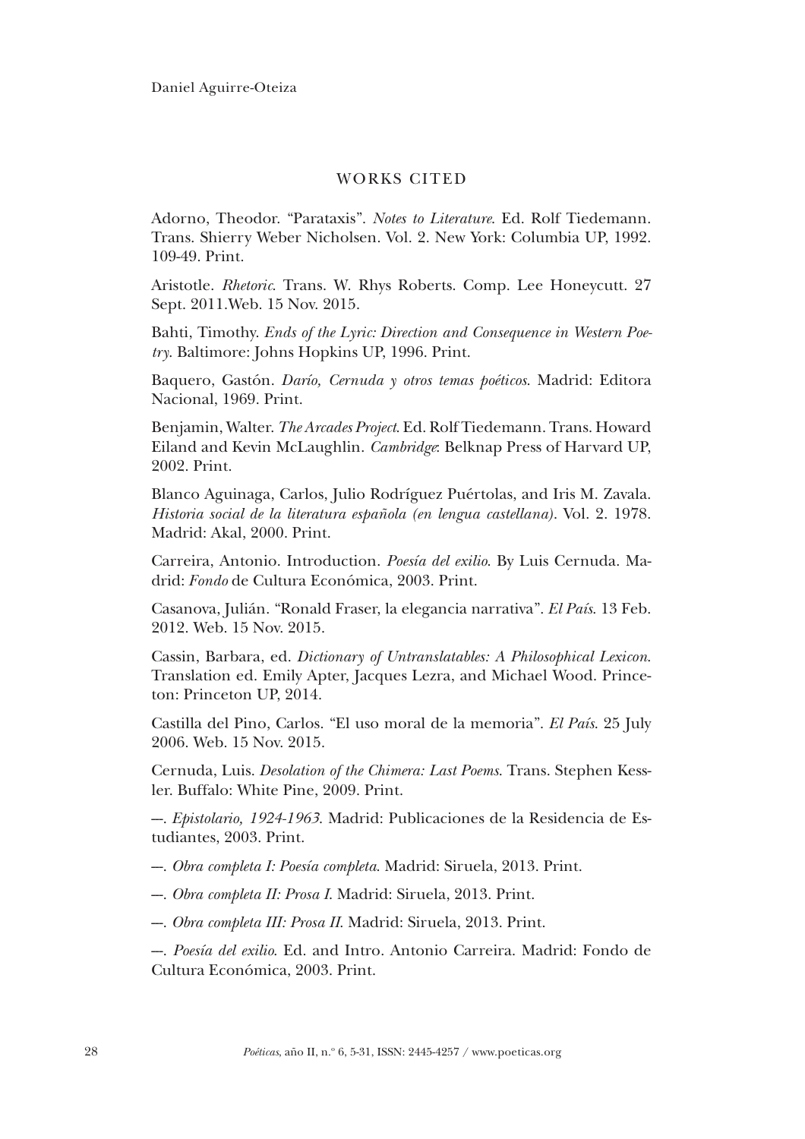#### WORKS CITED

Adorno, Theodor. "Parataxis". *Notes to Literature*. Ed. Rolf Tiedemann. Trans. Shierry Weber Nicholsen. Vol. 2. New York: Columbia UP, 1992. 109-49. Print.

Aristotle. *Rhetoric*. Trans. W. Rhys Roberts. Comp. Lee Honeycutt. 27 Sept. 2011.Web. 15 Nov. 2015.

Bahti, Timothy. *Ends of the Lyric: Direction and Consequence in Western Poetry*. Baltimore: Johns Hopkins UP, 1996. Print.

Baquero, Gastón. *Darío, Cernuda y otros temas poéticos*. Madrid: Editora Nacional, 1969. Print.

Benjamin, Walter. *The Arcades Project*. Ed. Rolf Tiedemann. Trans. Howard Eiland and Kevin McLaughlin. *Cambridge*: Belknap Press of Harvard UP, 2002. Print.

Blanco Aguinaga, Carlos, Julio Rodríguez Puértolas, and Iris M. Zavala. *Historia social de la literatura española (en lengua castellana)*. Vol. 2. 1978. Madrid: Akal, 2000. Print.

Carreira, Antonio. Introduction. *Poesía del exilio*. By Luis Cernuda. Madrid: *Fondo* de Cultura Económica, 2003. Print.

Casanova, Julián. "Ronald Fraser, la elegancia narrativa". *El País*. 13 Feb. 2012. Web. 15 Nov. 2015.

Cassin, Barbara, ed. *Dictionary of Untranslatables: A Philosophical Lexicon*. Translation ed. Emily Apter, Jacques Lezra, and Michael Wood. Princeton: Princeton UP, 2014.

Castilla del Pino, Carlos. "El uso moral de la memoria". *El País*. 25 July 2006. Web. 15 Nov. 2015.

Cernuda, Luis. *Desolation of the Chimera: Last Poems*. Trans. Stephen Kessler. Buffalo: White Pine, 2009. Print.

---. *Epistolario, 1924-1963*. Madrid: Publicaciones de la Residencia de Estudiantes, 2003. Print.

---. *Obra completa I: Poesía completa*. Madrid: Siruela, 2013. Print.

- ---. *Obra completa II: Prosa I*. Madrid: Siruela, 2013. Print.
- ---. *Obra completa III: Prosa II*. Madrid: Siruela, 2013. Print.

---. *Poesía del exilio*. Ed. and Intro. Antonio Carreira. Madrid: Fondo de Cultura Económica, 2003. Print.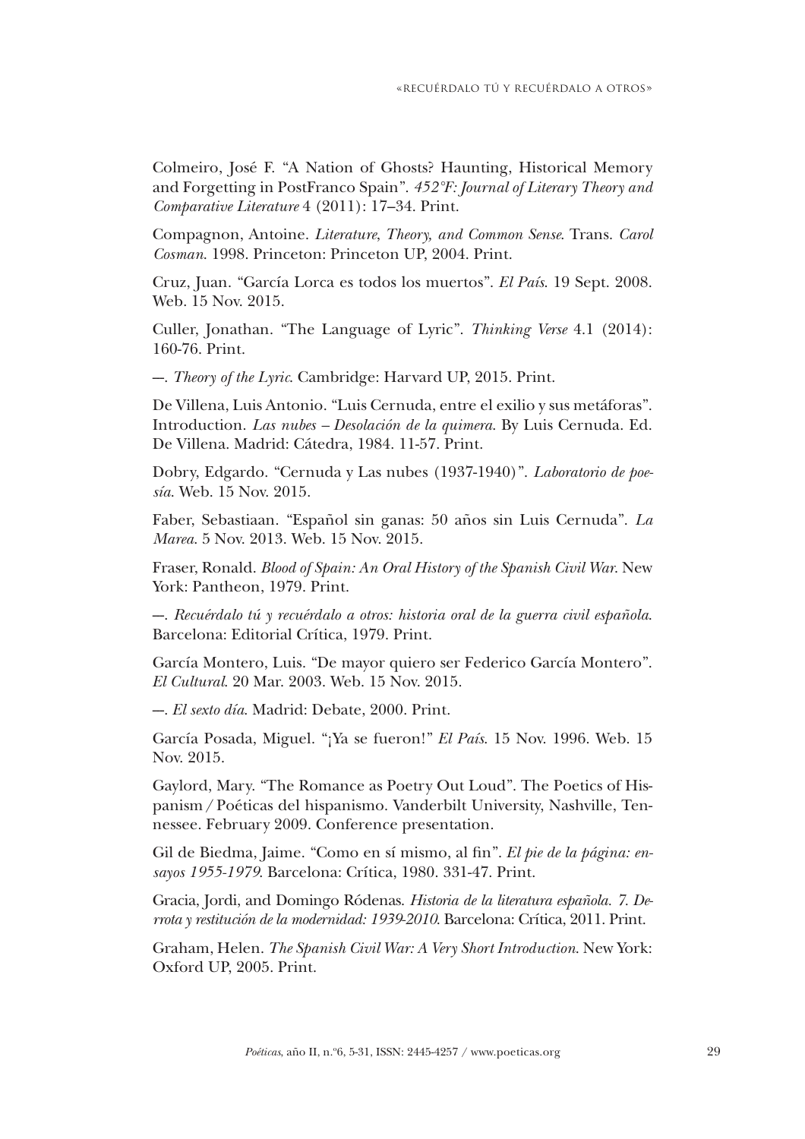Colmeiro, José F. "A Nation of Ghosts? Haunting, Historical Memory and Forgetting in PostFranco Spain". *452°F: Journal of Literary Theory and Comparative Literature* 4 (2011): 17–34. Print.

Compagnon, Antoine. *Literature*, *Theory, and Common Sense*. Trans. *Carol Cosman*. 1998. Princeton: Princeton UP, 2004. Print.

Cruz, Juan. "García Lorca es todos los muertos". *El País*. 19 Sept. 2008. Web. 15 Nov. 2015.

Culler, Jonathan. "The Language of Lyric". *Thinking Verse* 4.1 (2014): 160-76. Print.

---. *Theory of the Lyric*. Cambridge: Harvard UP, 2015. Print.

De Villena, Luis Antonio. "Luis Cernuda, entre el exilio y sus metáforas". Introduction. *Las nubes – Desolación de la quimera*. By Luis Cernuda. Ed. De Villena. Madrid: Cátedra, 1984. 11-57. Print.

Dobry, Edgardo. "Cernuda y Las nubes (1937-1940)". *Laboratorio de poesía*. Web. 15 Nov. 2015.

Faber, Sebastiaan. "Español sin ganas: 50 años sin Luis Cernuda". *La Marea*. 5 Nov. 2013. Web. 15 Nov. 2015.

Fraser, Ronald. *Blood of Spain: An Oral History of the Spanish Civil War*. New York: Pantheon, 1979. Print.

---. *Recuérdalo tú y recuérdalo a otros: historia oral de la guerra civil española*. Barcelona: Editorial Crítica, 1979. Print.

García Montero, Luis. "De mayor quiero ser Federico García Montero". *El Cultural*. 20 Mar. 2003. Web. 15 Nov. 2015.

---. *El sexto día*. Madrid: Debate, 2000. Print.

García Posada, Miguel. "¡Ya se fueron!" *El País*. 15 Nov. 1996. Web. 15 Nov. 2015.

Gaylord, Mary. "The Romance as Poetry Out Loud". The Poetics of Hispanism/Poéticas del hispanismo. Vanderbilt University, Nashville, Tennessee. February 2009. Conference presentation.

Gil de Biedma, Jaime. "Como en sí mismo, al fin". *El pie de la página: ensayos 1955-1979*. Barcelona: Crítica, 1980. 331-47. Print.

Gracia, Jordi, and Domingo Ródenas. *Historia de la literatura española. 7. Derrota y restitución de la modernidad: 1939-2010*. Barcelona: Crítica, 2011. Print.

Graham, Helen. *The Spanish Civil War: A Very Short Introduction*. New York: Oxford UP, 2005. Print.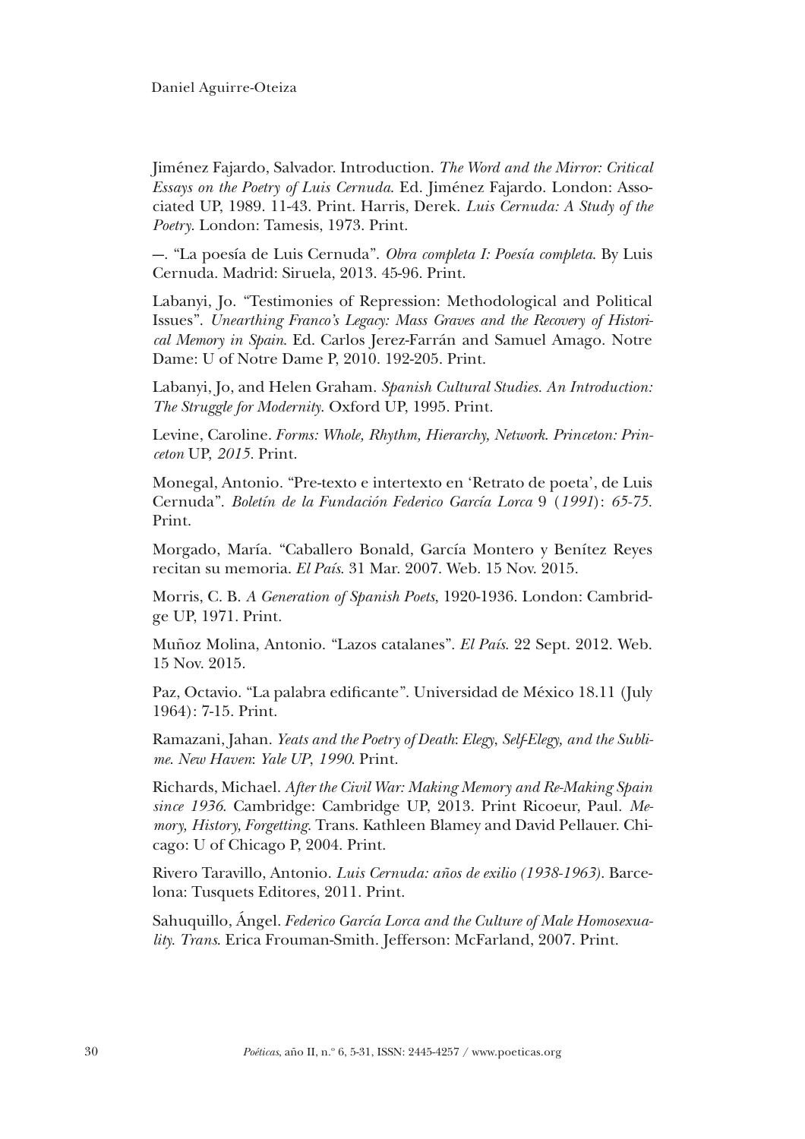Jiménez Fajardo, Salvador. Introduction. *The Word and the Mirror: Critical Essays on the Poetry of Luis Cernuda*. Ed. Jiménez Fajardo. London: Associated UP, 1989. 11-43. Print. Harris, Derek. *Luis Cernuda: A Study of the Poetry*. London: Tamesis, 1973. Print.

---. "La poesía de Luis Cernuda". *Obra completa I: Poesía completa*. By Luis Cernuda. Madrid: Siruela, 2013. 45-96. Print.

Labanyi, Jo. "Testimonies of Repression: Methodological and Political Issues". *Unearthing Franco's Legacy: Mass Graves and the Recovery of Historical Memory in Spain*. Ed. Carlos Jerez-Farrán and Samuel Amago. Notre Dame: U of Notre Dame P, 2010. 192-205. Print.

Labanyi, Jo, and Helen Graham. *Spanish Cultural Studies. An Introduction: The Struggle for Modernity*. Oxford UP, 1995. Print.

Levine, Caroline. *Forms: Whole, Rhythm, Hierarchy, Network*. *Princeton: Princeton* UP, *2015.* Print.

Monegal, Antonio. "Pre-texto e intertexto en 'Retrato de poeta', de Luis Cernuda". *Boletín de la Fundación Federico García Lorca* 9 (*1991*): *65-75.*  Print.

Morgado, María. "Caballero Bonald, García Montero y Benítez Reyes recitan su memoria. *El País*. 31 Mar. 2007. Web. 15 Nov. 2015.

Morris, C. B. *A Generation of Spanish Poets*, 1920-1936. London: Cambridge UP, 1971. Print.

Muñoz Molina, Antonio. "Lazos catalanes". *El País*. 22 Sept. 2012. Web. 15 Nov. 2015.

Paz, Octavio. "La palabra edificante". Universidad de México 18.11 (July 1964): 7-15. Print.

Ramazani, Jahan. *Yeats and the Poetry of Death*: *Elegy*, *Self*-*Elegy, and the Sublime*. *New Haven*: *Yale UP*, *1990*. Print.

Richards, Michael. *After the Civil War: Making Memory and Re-Making Spain since 1936*. Cambridge: Cambridge UP, 2013. Print Ricoeur, Paul. *Memory, History, Forgetting*. Trans. Kathleen Blamey and David Pellauer. Chicago: U of Chicago P, 2004. Print.

Rivero Taravillo, Antonio. *Luis Cernuda: años de exilio (1938-1963)*. Barcelona: Tusquets Editores, 2011. Print.

Sahuquillo, Ángel. *Federico García Lorca and the Culture of Male Homosexuality. Trans*. Erica Frouman-Smith. Jefferson: McFarland, 2007. Print.